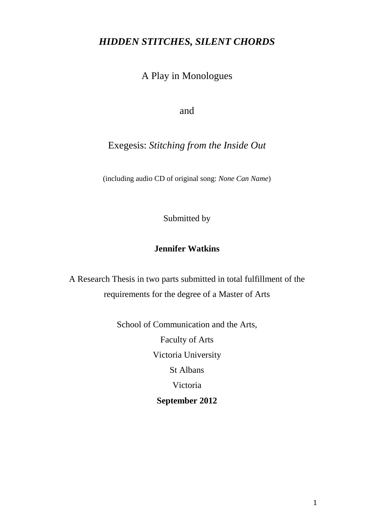# *HIDDEN STITCHES, SILENT CHORDS*

A Play in Monologues

and

Exegesis: *Stitching from the Inside Out*

(including audio CD of original song: *None Can Name*)

Submitted by

# **Jennifer Watkins**

A Research Thesis in two parts submitted in total fulfillment of the requirements for the degree of a Master of Arts

> School of Communication and the Arts, Faculty of Arts Victoria University St Albans Victoria **September 2012**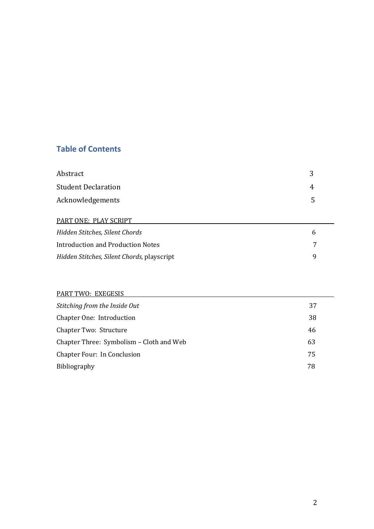# **Table of Contents**

| Abstract                   |     |
|----------------------------|-----|
| <b>Student Declaration</b> |     |
| Acknowledgements           | _ 5 |

# PART ONE: PLAY SCRIPT **EXECUTE A SERVICE SERVICE SERVICE SERVICE SERVICE SERVICE SERVICE SERVICE SERVICE SERVICE SERVICE SERVICE SERVICE SERVICE SERVICE SERVICE SERVICE SERVICE SERVICE SERVICE SERVICE SERVICE SERVICE SERVI**

| Hidden Stitches, Silent Chords             |   |
|--------------------------------------------|---|
| Introduction and Production Notes          |   |
| Hidden Stitches, Silent Chords, playscript | Q |

# PART TWO: EXEGESIS

| Stitching from the Inside Out            | 37 |
|------------------------------------------|----|
| Chapter One: Introduction                | 38 |
| Chapter Two: Structure                   | 46 |
| Chapter Three: Symbolism – Cloth and Web | 63 |
| Chapter Four: In Conclusion              | 75 |
| <b>Bibliography</b>                      | 78 |
|                                          |    |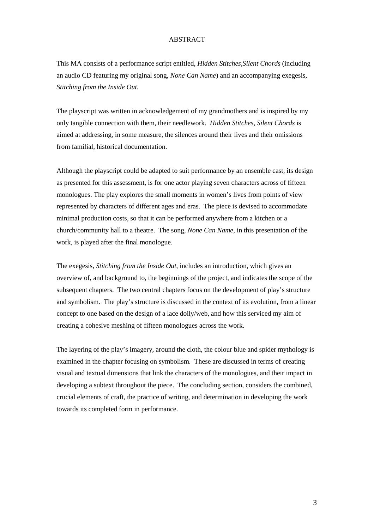# **ABSTRACT**

This MA consists of a performance script entitled, *Hidden Stitches,Silent Chords* (including an audio CD featuring my original song, *None Can Name*) and an accompanying exegesis, *Stitching from the Inside Out*.

The playscript was written in acknowledgement of my grandmothers and is inspired by my only tangible connection with them, their needlework. *Hidden Stitches, Silent Chords* is aimed at addressing, in some measure, the silences around their lives and their omissions from familial, historical documentation.

Although the playscript could be adapted to suit performance by an ensemble cast, its design as presented for this assessment, is for one actor playing seven characters across of fifteen monologues. The play explores the small moments in women's lives from points of view represented by characters of different ages and eras. The piece is devised to accommodate minimal production costs, so that it can be performed anywhere from a kitchen or a church/community hall to a theatre. The song, *None Can Name*, in this presentation of the work, is played after the final monologue.

The exegesis, *Stitching from the Inside Out*, includes an introduction, which gives an overview of, and background to, the beginnings of the project, and indicates the scope of the subsequent chapters. The two central chapters focus on the development of play's structure and symbolism. The play's structure is discussed in the context of its evolution, from a linear concept to one based on the design of a lace doily/web, and how this serviced my aim of creating a cohesive meshing of fifteen monologues across the work.

The layering of the play's imagery, around the cloth, the colour blue and spider mythology is examined in the chapter focusing on symbolism. These are discussed in terms of creating visual and textual dimensions that link the characters of the monologues, and their impact in developing a subtext throughout the piece. The concluding section, considers the combined, crucial elements of craft, the practice of writing, and determination in developing the work towards its completed form in performance.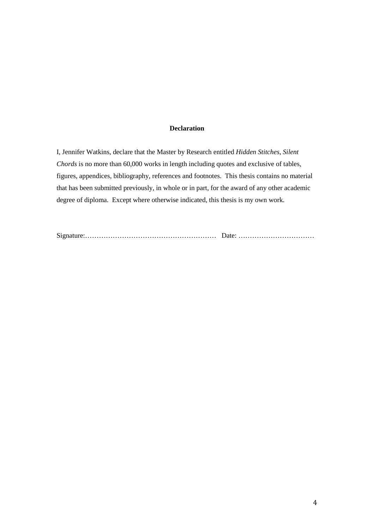# **Declaration**

I, Jennifer Watkins, declare that the Master by Research entitled *Hidden Stitches, Silent Chords* is no more than 60,000 works in length including quotes and exclusive of tables, figures, appendices, bibliography, references and footnotes. This thesis contains no material that has been submitted previously, in whole or in part, for the award of any other academic degree of diploma. Except where otherwise indicated, this thesis is my own work.

Signature:………………………………………………… Date: ……………………………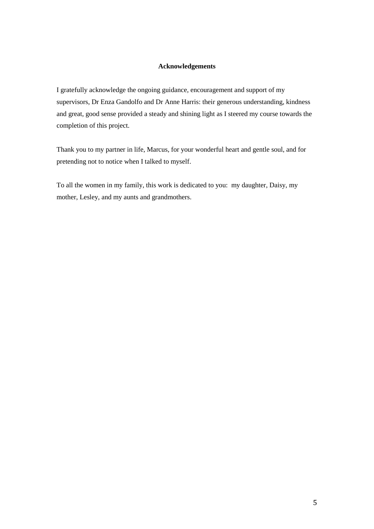# **Acknowledgements**

I gratefully acknowledge the ongoing guidance, encouragement and support of my supervisors, Dr Enza Gandolfo and Dr Anne Harris: their generous understanding, kindness and great, good sense provided a steady and shining light as I steered my course towards the completion of this project.

Thank you to my partner in life, Marcus, for your wonderful heart and gentle soul, and for pretending not to notice when I talked to myself.

To all the women in my family, this work is dedicated to you: my daughter, Daisy, my mother, Lesley, and my aunts and grandmothers.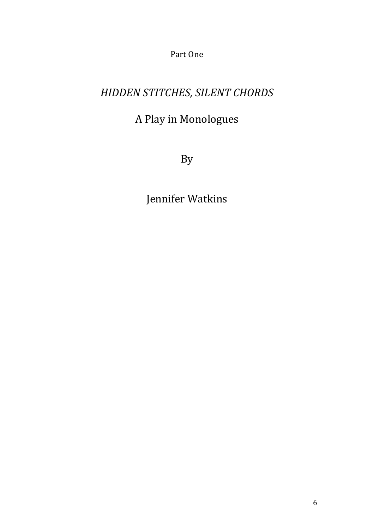Part One

# *HIDDEN STITCHES, SILENT CHORDS*

# A Play in Monologues

By

Jennifer Watkins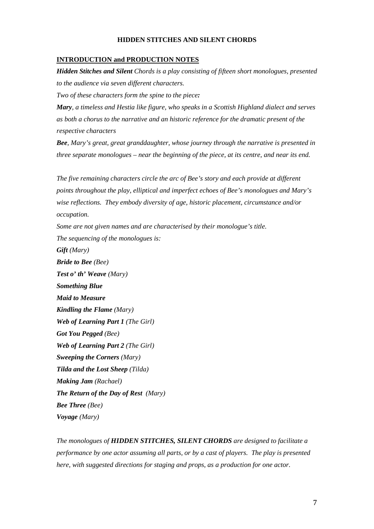### **HIDDEN STITCHES AND SILENT CHORDS**

### **INTRODUCTION and PRODUCTION NOTES**

*Hidden Stitches and Silent Chords is a play consisting of fifteen short monologues, presented to the audience via seven different characters.* 

*Two of these characters form the spine to the piece:* 

*Mary, a timeless and Hestia like figure, who speaks in a Scottish Highland dialect and serves as both a chorus to the narrative and an historic reference for the dramatic present of the respective characters* 

*Bee, Mary's great, great granddaughter, whose journey through the narrative is presented in three separate monologues – near the beginning of the piece, at its centre, and near its end.*

*The five remaining characters circle the arc of Bee's story and each provide at different points throughout the play, elliptical and imperfect echoes of Bee's monologues and Mary's wise reflections. They embody diversity of age, historic placement, circumstance and/or occupation.* 

*Some are not given names and are characterised by their monologue's title.*

*The sequencing of the monologues is:*

*Gift (Mary)*

*Bride to Bee (Bee)*

*Test o' th' Weave (Mary) Something Blue Maid to Measure*

*Kindling the Flame (Mary)*

*Web of Learning Part 1 (The Girl)*

*Got You Pegged (Bee)*

*Web of Learning Part 2 (The Girl)*

*Sweeping the Corners (Mary)*

*Tilda and the Lost Sheep (Tilda)*

*Making Jam (Rachael)*

*The Return of the Day of Rest (Mary)*

*Bee Three (Bee)*

*Voyage (Mary)*

*The monologues of HIDDEN STITCHES, SILENT CHORDS are designed to facilitate a performance by one actor assuming all parts, or by a cast of players. The play is presented here, with suggested directions for staging and props, as a production for one actor.*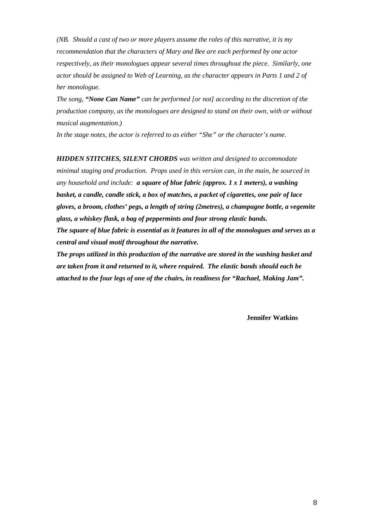*(NB. Should a cast of two or more players assume the roles of this narrative, it is my recommendation that the characters of Mary and Bee are each performed by one actor respectively, as their monologues appear several times throughout the piece. Similarly, one actor should be assigned to Web of Learning, as the character appears in Parts 1 and 2 of her monologue.* 

*The song, "None Can Name" can be performed [or not] according to the discretion of the production company, as the monologues are designed to stand on their own, with or without musical augmentation.)*

*In the stage notes, the actor is referred to as either "She" or the character's name.*

*HIDDEN STITCHES, SILENT CHORDS was written and designed to accommodate minimal staging and production. Props used in this version can, in the main, be sourced in any household and include: a square of blue fabric (approx. 1 x 1 meters), a washing basket, a candle, candle stick, a box of matches, a packet of cigarettes, one pair of lace gloves, a broom, clothes' pegs, a length of string (2metres), a champagne bottle, a vegemite glass, a whiskey flask, a bag of peppermints and four strong elastic bands.*

*The square of blue fabric is essential as it features in all of the monologues and serves as a central and visual motif throughout the narrative.*

*The props utilized in this production of the narrative are stored in the washing basket and are taken from it and returned to it, where required. The elastic bands should each be attached to the four legs of one of the chairs, in readiness for "Rachael, Making Jam".*

 **Jennifer Watkins**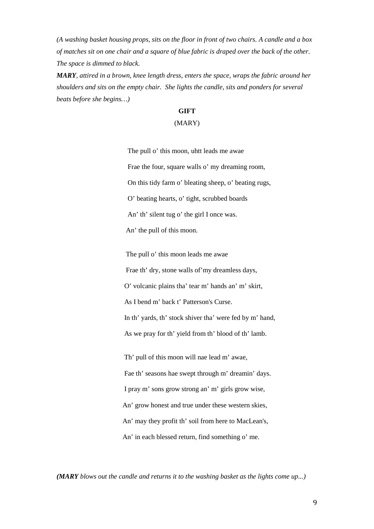*(A washing basket housing props, sits on the floor in front of two chairs. A candle and a box of matches sit on one chair and a square of blue fabric is draped over the back of the other. The space is dimmed to black.* 

*MARY, attired in a brown, knee length dress, enters the space, wraps the fabric around her shoulders and sits on the empty chair. She lights the candle, sits and ponders for several beats before she begins…)*

# **GIFT** (MARY)

 The pull o' this moon, uhtt leads me awae Frae the four, square walls o' my dreaming room, On this tidy farm o' bleating sheep, o' beating rugs, O' beating hearts, o' tight, scrubbed boards An' th' silent tug o' the girl I once was. An' the pull of this moon.

 The pull o' this moon leads me awae Frae th' dry, stone walls of'my dreamless days, O' volcanic plains tha' tear m' hands an' m' skirt, As I bend m' back t' Patterson's Curse. In th' yards, th' stock shiver tha' were fed by m' hand, As we pray for th' yield from th' blood of th' lamb.

 Th' pull of this moon will nae lead m' awae, Fae th' seasons hae swept through m' dreamin' days. I pray m' sons grow strong an' m' girls grow wise, An' grow honest and true under these western skies, An' may they profit th' soil from here to MacLean's, An' in each blessed return, find something o' me.

*(MARY blows out the candle and returns it to the washing basket as the lights come up...)*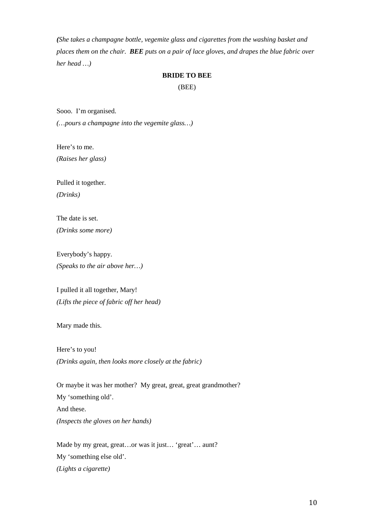*(She takes a champagne bottle, vegemite glass and cigarettes from the washing basket and places them on the chair. BEE puts on a pair of lace gloves, and drapes the blue fabric over her head …)*

# **BRIDE TO BEE**

(BEE)

Sooo. I'm organised.

*(…pours a champagne into the vegemite glass…)*

Here's to me. *(Raises her glass)*

Pulled it together. *(Drinks)*

The date is set.

*(Drinks some more)*

Everybody's happy. *(Speaks to the air above her…)*

I pulled it all together, Mary! *(Lifts the piece of fabric off her head)*

Mary made this.

Here's to you! *(Drinks again, then looks more closely at the fabric)*

Or maybe it was her mother? My great, great, great grandmother? My 'something old'. And these. *(Inspects the gloves on her hands)*

Made by my great, great...or was it just... 'great'... aunt? My 'something else old'. *(Lights a cigarette)*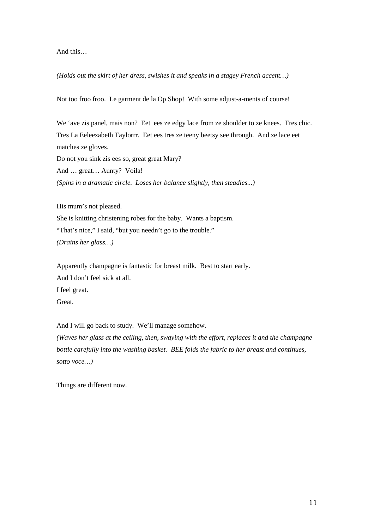And this…

### *(Holds out the skirt of her dress, swishes it and speaks in a stagey French accent…)*

Not too froo froo. Le garment de la Op Shop! With some adjust-a-ments of course!

We 'ave zis panel, mais non? Eet ees ze edgy lace from ze shoulder to ze knees. Tres chic. Tres La Eeleezabeth Taylorrr. Eet ees tres ze teeny beetsy see through. And ze lace eet matches ze gloves. Do not you sink zis ees so, great great Mary? And … great… Aunty? Voila! *(Spins in a dramatic circle. Loses her balance slightly, then steadies...)*

His mum's not pleased. She is knitting christening robes for the baby. Wants a baptism. "That's nice," I said, "but you needn't go to the trouble." *(Drains her glass…)*

Apparently champagne is fantastic for breast milk. Best to start early. And I don't feel sick at all. I feel great. Great.

And I will go back to study. We'll manage somehow. *(Waves her glass at the ceiling, then, swaying with the effort, replaces it and the champagne bottle carefully into the washing basket. BEE folds the fabric to her breast and continues, sotto voce…)*

Things are different now.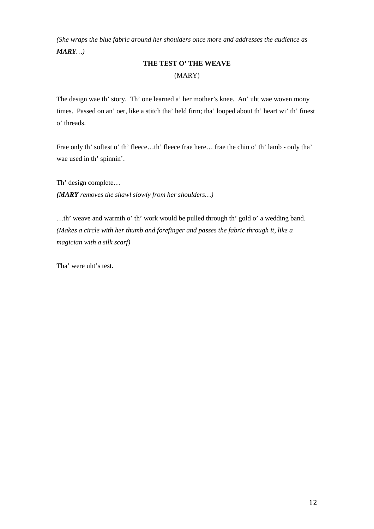*(She wraps the blue fabric around her shoulders once more and addresses the audience as MARY…)*

# **THE TEST O' THE WEAVE** (MARY)

The design wae th' story. Th' one learned a' her mother's knee. An' uht wae woven mony times. Passed on an' oer, like a stitch tha' held firm; tha' looped about th' heart wi' th' finest o' threads.

Frae only th' softest o' th' fleece…th' fleece frae here… frae the chin o' th' lamb - only tha' wae used in th' spinnin'.

Th' design complete… *(MARY removes the shawl slowly from her shoulders…)*

…th' weave and warmth o' th' work would be pulled through th' gold o' a wedding band. *(Makes a circle with her thumb and forefinger and passes the fabric through it, like a magician with a silk scarf)*

Tha' were uht's test.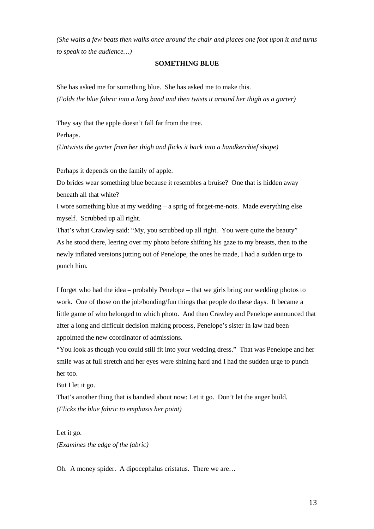*(She waits a few beats then walks once around the chair and places one foot upon it and turns to speak to the audience…)* 

### **SOMETHING BLUE**

She has asked me for something blue. She has asked me to make this. *(Folds the blue fabric into a long band and then twists it around her thigh as a garter)*

They say that the apple doesn't fall far from the tree.

Perhaps.

*(Untwists the garter from her thigh and flicks it back into a handkerchief shape)*

Perhaps it depends on the family of apple.

Do brides wear something blue because it resembles a bruise? One that is hidden away beneath all that white?

I wore something blue at my wedding – a sprig of forget-me-nots. Made everything else myself. Scrubbed up all right.

That's what Crawley said: "My, you scrubbed up all right. You were quite the beauty" As he stood there, leering over my photo before shifting his gaze to my breasts, then to the newly inflated versions jutting out of Penelope, the ones he made, I had a sudden urge to punch him.

I forget who had the idea – probably Penelope – that we girls bring our wedding photos to work. One of those on the job/bonding/fun things that people do these days. It became a little game of who belonged to which photo. And then Crawley and Penelope announced that after a long and difficult decision making process, Penelope's sister in law had been appointed the new coordinator of admissions.

"You look as though you could still fit into your wedding dress." That was Penelope and her smile was at full stretch and her eyes were shining hard and I had the sudden urge to punch her too.

But I let it go.

That's another thing that is bandied about now: Let it go. Don't let the anger build. *(Flicks the blue fabric to emphasis her point)*

Let it go. *(Examines the edge of the fabric)*

Oh. A money spider. A dipocephalus cristatus. There we are…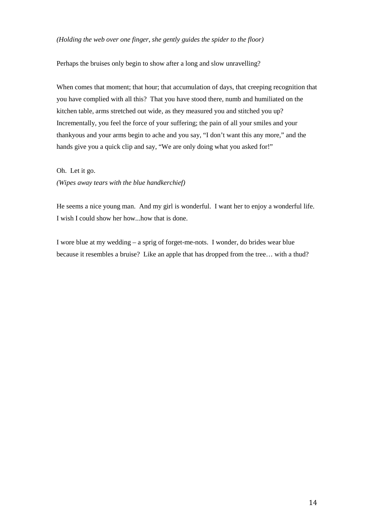# *(Holding the web over one finger, she gently guides the spider to the floor)*

Perhaps the bruises only begin to show after a long and slow unravelling?

When comes that moment; that hour; that accumulation of days, that creeping recognition that you have complied with all this? That you have stood there, numb and humiliated on the kitchen table, arms stretched out wide, as they measured you and stitched you up? Incrementally, you feel the force of your suffering; the pain of all your smiles and your thankyous and your arms begin to ache and you say, "I don't want this any more," and the hands give you a quick clip and say, "We are only doing what you asked for!"

Oh. Let it go.

*(Wipes away tears with the blue handkerchief)*

He seems a nice young man. And my girl is wonderful. I want her to enjoy a wonderful life. I wish I could show her how...how that is done.

I wore blue at my wedding – a sprig of forget-me-nots. I wonder, do brides wear blue because it resembles a bruise? Like an apple that has dropped from the tree… with a thud?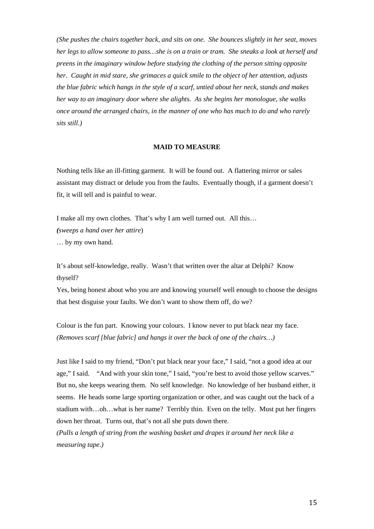*(She pushes the chairs together back, and sits on one. She bounces slightly in her seat, moves her legs to allow someone to pass…she is on a train or tram. She sneaks a look at herself and preens in the imaginary window before studying the clothing of the person sitting opposite her. Caught in mid stare, she grimaces a quick smile to the object of her attention, adjusts the blue fabric which hangs in the style of a scarf, untied about her neck, stands and makes her way to an imaginary door where she alights. As she begins her monologue, she walks once around the arranged chairs, in the manner of one who has much to do and who rarely sits still.)*

#### **MAID TO MEASURE**

Nothing tells like an ill-fitting garment. It will be found out. A flattering mirror or sales assistant may distract or delude you from the faults. Eventually though, if a garment doesn't fit, it will tell and is painful to wear.

I make all my own clothes. That's why I am well turned out. All this… *(sweeps a hand over her attire*) … by my own hand.

It's about self-knowledge, really. Wasn't that written over the altar at Delphi? Know thyself?

Yes, being honest about who you are and knowing yourself well enough to choose the designs that best disguise your faults. We don't want to show them off, do we?

Colour is the fun part. Knowing your colours. I know never to put black near my face. *(Removes scarf [blue fabric] and hangs it over the back of one of the chairs…)*

Just like I said to my friend, "Don't put black near your face," I said, "not a good idea at our age," I said. "And with your skin tone," I said, "you're best to avoid those yellow scarves." But no, she keeps wearing them. No self knowledge. No knowledge of her husband either, it seems. He heads some large sporting organization or other, and was caught out the back of a stadium with…oh…what is her name? Terribly thin. Even on the telly. Must put her fingers down her throat. Turns out, that's not all she puts down there.

*(Pulls a length of string from the washing basket and drapes it around her neck like a measuring tape.)*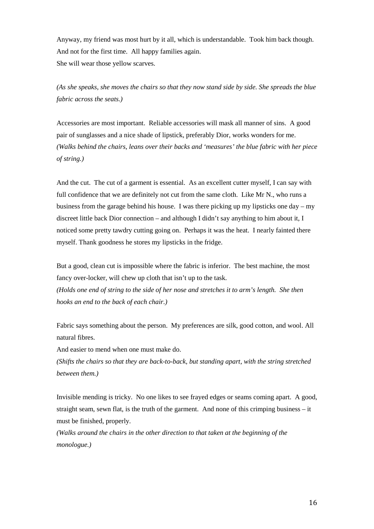Anyway, my friend was most hurt by it all, which is understandable. Took him back though. And not for the first time. All happy families again. She will wear those yellow scarves.

*(As she speaks, she moves the chairs so that they now stand side by side. She spreads the blue fabric across the seats.)*

Accessories are most important. Reliable accessories will mask all manner of sins. A good pair of sunglasses and a nice shade of lipstick, preferably Dior, works wonders for me. *(Walks behind the chairs, leans over their backs and 'measures' the blue fabric with her piece of string.)*

And the cut. The cut of a garment is essential. As an excellent cutter myself, I can say with full confidence that we are definitely not cut from the same cloth. Like Mr N., who runs a business from the garage behind his house. I was there picking up my lipsticks one day – my discreet little back Dior connection – and although I didn't say anything to him about it, I noticed some pretty tawdry cutting going on. Perhaps it was the heat. I nearly fainted there myself. Thank goodness he stores my lipsticks in the fridge.

But a good, clean cut is impossible where the fabric is inferior. The best machine, the most fancy over-locker, will chew up cloth that isn't up to the task. *(Holds one end of string to the side of her nose and stretches it to arm's length. She then hooks an end to the back of each chair.)*

Fabric says something about the person. My preferences are silk, good cotton, and wool. All natural fibres.

And easier to mend when one must make do.

*(Shifts the chairs so that they are back-to-back, but standing apart, with the string stretched between them.)*

Invisible mending is tricky. No one likes to see frayed edges or seams coming apart. A good, straight seam, sewn flat, is the truth of the garment. And none of this crimping business – it must be finished, properly.

*(Walks around the chairs in the other direction to that taken at the beginning of the monologue.)*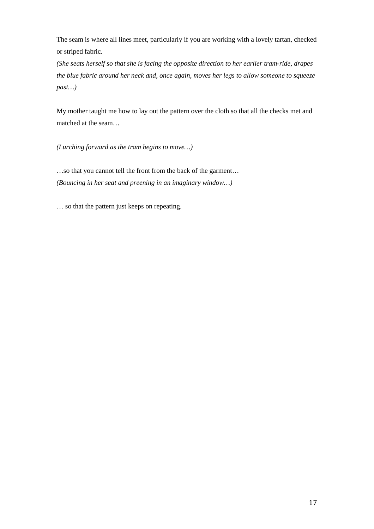The seam is where all lines meet, particularly if you are working with a lovely tartan, checked or striped fabric.

*(She seats herself so that she is facing the opposite direction to her earlier tram-ride, drapes the blue fabric around her neck and, once again, moves her legs to allow someone to squeeze past…)*

My mother taught me how to lay out the pattern over the cloth so that all the checks met and matched at the seam…

*(Lurching forward as the tram begins to move…)*

…so that you cannot tell the front from the back of the garment… *(Bouncing in her seat and preening in an imaginary window…)*

… so that the pattern just keeps on repeating.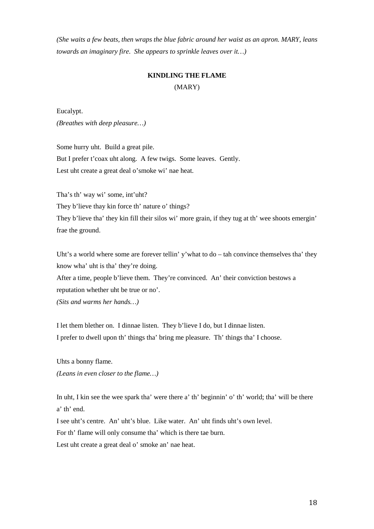*(She waits a few beats, then wraps the blue fabric around her waist as an apron. MARY, leans towards an imaginary fire. She appears to sprinkle leaves over it…)*

# **KINDLING THE FLAME** (MARY)

Eucalypt. *(Breathes with deep pleasure…)*

Some hurry uht. Build a great pile. But I prefer t'coax uht along. A few twigs. Some leaves. Gently. Lest uht create a great deal o'smoke wi' nae heat.

Tha's th' way wi' some, int'uht? They b'lieve thay kin force th' nature o' things? They b'lieve tha' they kin fill their silos wi' more grain, if they tug at th' wee shoots emergin' frae the ground.

Uht's a world where some are forever tellin' y'what to do – tah convince themselves tha' they know wha' uht is tha' they're doing.

After a time, people b'lieve them. They're convinced. An' their conviction bestows a reputation whether uht be true or no'.

*(Sits and warms her hands…)*

I let them blether on. I dinnae listen. They b'lieve I do, but I dinnae listen. I prefer to dwell upon th' things tha' bring me pleasure. Th' things tha' I choose.

Uhts a bonny flame. *(Leans in even closer to the flame…)*

In uht, I kin see the wee spark tha' were there a' th' beginnin' o' th' world; tha' will be there a' th' end.

I see uht's centre. An' uht's blue. Like water. An' uht finds uht's own level. For th' flame will only consume tha' which is there tae burn. Lest uht create a great deal o' smoke an' nae heat.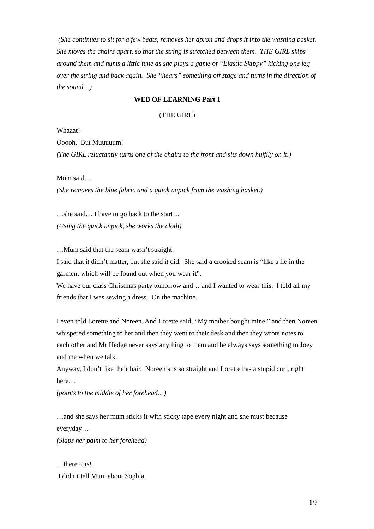*(She continues to sit for a few beats, removes her apron and drops it into the washing basket. She moves the chairs apart, so that the string is stretched between them. THE GIRL skips around them and hums a little tune as she plays a game of "Elastic Skippy" kicking one leg over the string and back again. She "hears" something off stage and turns in the direction of the sound…)*

### **WEB OF LEARNING Part 1**

### (THE GIRL)

Whaaat?

Ooooh. But Muuuuum!

*(The GIRL reluctantly turns one of the chairs to the front and sits down huffily on it.)*

Mum said…

*(She removes the blue fabric and a quick unpick from the washing basket.)*

…she said… I have to go back to the start… *(Using the quick unpick, she works the cloth)*

…Mum said that the seam wasn't straight.

I said that it didn't matter, but she said it did. She said a crooked seam is "like a lie in the garment which will be found out when you wear it".

We have our class Christmas party tomorrow and... and I wanted to wear this. I told all my friends that I was sewing a dress. On the machine.

I even told Lorette and Noreen. And Lorette said, "My mother bought mine," and then Noreen whispered something to her and then they went to their desk and then they wrote notes to each other and Mr Hedge never says anything to them and he always says something to Joey and me when we talk.

Anyway, I don't like their hair. Noreen's is so straight and Lorette has a stupid curl, right here…

*(points to the middle of her forehead…)* 

…and she says her mum sticks it with sticky tape every night and she must because everyday…

*(Slaps her palm to her forehead)* 

…there it is! I didn't tell Mum about Sophia.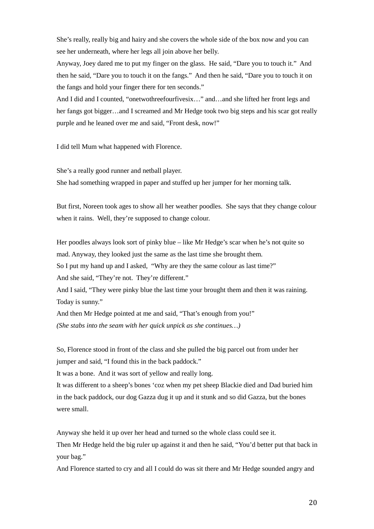She's really, really big and hairy and she covers the whole side of the box now and you can see her underneath, where her legs all join above her belly.

Anyway, Joey dared me to put my finger on the glass. He said, "Dare you to touch it." And then he said, "Dare you to touch it on the fangs." And then he said, "Dare you to touch it on the fangs and hold your finger there for ten seconds."

And I did and I counted, "onetwothreefourfivesix…" and…and she lifted her front legs and her fangs got bigger…and I screamed and Mr Hedge took two big steps and his scar got really purple and he leaned over me and said, "Front desk, now!"

I did tell Mum what happened with Florence.

She's a really good runner and netball player.

She had something wrapped in paper and stuffed up her jumper for her morning talk.

But first, Noreen took ages to show all her weather poodles. She says that they change colour when it rains. Well, they're supposed to change colour.

Her poodles always look sort of pinky blue – like Mr Hedge's scar when he's not quite so mad. Anyway, they looked just the same as the last time she brought them.

So I put my hand up and I asked, "Why are they the same colour as last time?"

And she said, "They're not. They're different."

And I said, "They were pinky blue the last time your brought them and then it was raining. Today is sunny."

And then Mr Hedge pointed at me and said, "That's enough from you!"

*(She stabs into the seam with her quick unpick as she continues…)*

So, Florence stood in front of the class and she pulled the big parcel out from under her jumper and said, "I found this in the back paddock."

It was a bone. And it was sort of yellow and really long.

It was different to a sheep's bones 'coz when my pet sheep Blackie died and Dad buried him in the back paddock, our dog Gazza dug it up and it stunk and so did Gazza, but the bones were small.

Anyway she held it up over her head and turned so the whole class could see it.

Then Mr Hedge held the big ruler up against it and then he said, "You'd better put that back in your bag."

And Florence started to cry and all I could do was sit there and Mr Hedge sounded angry and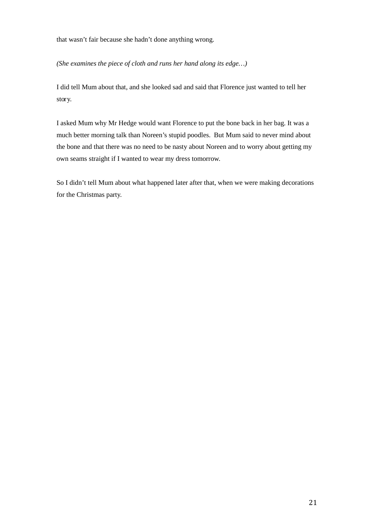that wasn't fair because she hadn't done anything wrong.

*(She examines the piece of cloth and runs her hand along its edge…)*

I did tell Mum about that, and she looked sad and said that Florence just wanted to tell her story.

I asked Mum why Mr Hedge would want Florence to put the bone back in her bag. It was a much better morning talk than Noreen's stupid poodles. But Mum said to never mind about the bone and that there was no need to be nasty about Noreen and to worry about getting my own seams straight if I wanted to wear my dress tomorrow.

So I didn't tell Mum about what happened later after that, when we were making decorations for the Christmas party.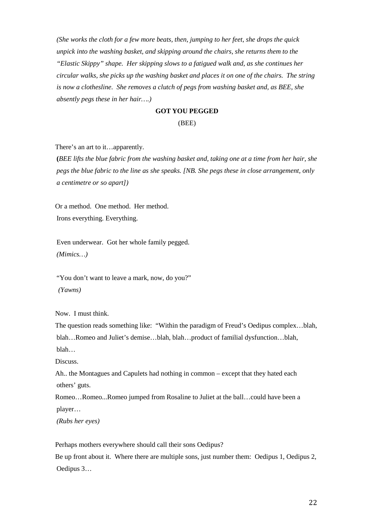*(She works the cloth for a few more beats, then, jumping to her feet, she drops the quick unpick into the washing basket, and skipping around the chairs, she returns them to the "Elastic Skippy" shape. Her skipping slows to a fatigued walk and, as she continues her circular walks, she picks up the washing basket and places it on one of the chairs. The string is now a clothesline. She removes a clutch of pegs from washing basket and, as BEE, she absently pegs these in her hair….)* 

#### **GOT YOU PEGGED**

#### (BEE)

There's an art to it…apparently.

**(***BEE lifts the blue fabric from the washing basket and, taking one at a time from her hair, she pegs the blue fabric to the line as she speaks. [NB. She pegs these in close arrangement, only a centimetre or so apart])*

Or a method. One method. Her method. Irons everything. Everything.

Even underwear. Got her whole family pegged. *(Mimics…)*

"You don't want to leave a mark, now, do you?" *(Yawns)*

Now. I must think.

The question reads something like: "Within the paradigm of Freud's Oedipus complex…blah, blah…Romeo and Juliet's demise…blah, blah…product of familial dysfunction…blah, blah…

Discuss.

Ah.. the Montagues and Capulets had nothing in common – except that they hated each others' guts.

Romeo…Romeo...Romeo jumped from Rosaline to Juliet at the ball…could have been a player…

*(Rubs her eyes)*

Perhaps mothers everywhere should call their sons Oedipus? Be up front about it. Where there are multiple sons, just number them: Oedipus 1, Oedipus 2, Oedipus 3…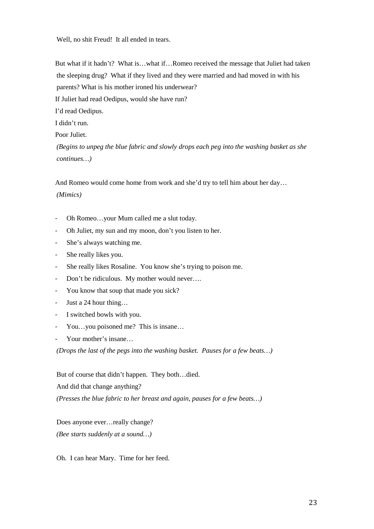Well, no shit Freud! It all ended in tears.

But what if it hadn't? What is…what if…Romeo received the message that Juliet had taken the sleeping drug? What if they lived and they were married and had moved in with his parents? What is his mother ironed his underwear?

If Juliet had read Oedipus, would she have run?

I'd read Oedipus.

I didn't run.

Poor Juliet.

*(Begins to unpeg the blue fabric and slowly drops each peg into the washing basket as she continues…)*

And Romeo would come home from work and she'd try to tell him about her day…

*(Mimics)*

- Oh Romeo…your Mum called me a slut today.
- Oh Juliet, my sun and my moon, don't you listen to her.
- She's always watching me.
- She really likes you.
- She really likes Rosaline. You know she's trying to poison me.
- Don't be ridiculous. My mother would never....
- You know that soup that made you sick?
- Just a 24 hour thing…
- I switched bowls with you.
- You…you poisoned me? This is insane…
- Your mother's insane...

*(Drops the last of the pegs into the washing basket. Pauses for a few beats…)*

But of course that didn't happen. They both…died.

And did that change anything?

*(Presses the blue fabric to her breast and again, pauses for a few beats…)*

Does anyone ever…really change? *(Bee starts suddenly at a sound…)*

Oh. I can hear Mary. Time for her feed.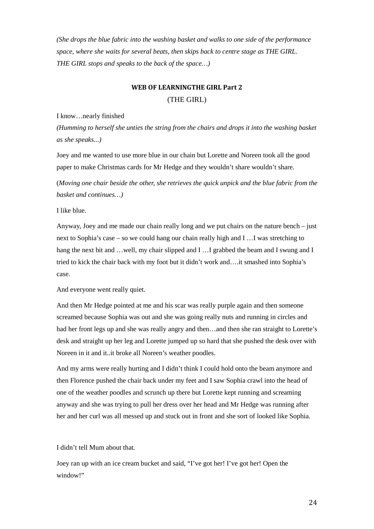*(She drops the blue fabric into the washing basket and walks to one side of the performance space, where she waits for several beats, then skips back to centre stage as THE GIRL. THE GIRL stops and speaks to the back of the space…)*

# **WEB OF LEARNINGTHE GIRL Part 2** (THE GIRL)

#### I know…nearly finished

*(Humming to herself she unties the string from the chairs and drops it into the washing basket as she speaks...)* 

Joey and me wanted to use more blue in our chain but Lorette and Noreen took all the good paper to make Christmas cards for Mr Hedge and they wouldn't share wouldn't share.

(*Moving one chair beside the other, she retrieves the quick unpick and the blue fabric from the basket and continues…)*

# I like blue.

Anyway, Joey and me made our chain really long and we put chairs on the nature bench – just next to Sophia's case – so we could hang our chain really high and I …I was stretching to hang the next bit and …well, my chair slipped and I …I grabbed the beam and I swung and I tried to kick the chair back with my foot but it didn't work and….it smashed into Sophia's case.

### And everyone went really quiet.

And then Mr Hedge pointed at me and his scar was really purple again and then someone screamed because Sophia was out and she was going really nuts and running in circles and had her front legs up and she was really angry and then...and then she ran straight to Lorette's desk and straight up her leg and Lorette jumped up so hard that she pushed the desk over with Noreen in it and it..it broke all Noreen's weather poodles.

And my arms were really hurting and I didn't think I could hold onto the beam anymore and then Florence pushed the chair back under my feet and I saw Sophia crawl into the head of one of the weather poodles and scrunch up there but Lorette kept running and screaming anyway and she was trying to pull her dress over her head and Mr Hedge was running after her and her curl was all messed up and stuck out in front and she sort of looked like Sophia.

### I didn't tell Mum about that.

Joey ran up with an ice cream bucket and said, "I've got her! I've got her! Open the window!"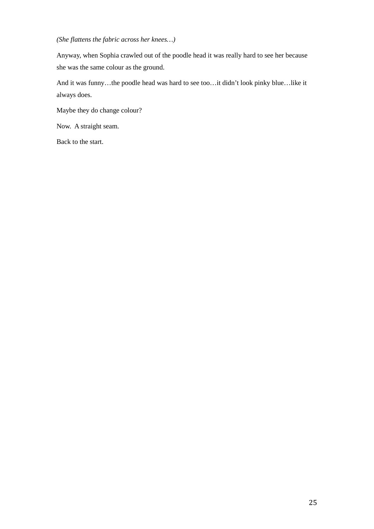# *(She flattens the fabric across her knees…)*

Anyway, when Sophia crawled out of the poodle head it was really hard to see her because she was the same colour as the ground.

And it was funny…the poodle head was hard to see too…it didn't look pinky blue…like it always does.

Maybe they do change colour?

Now. A straight seam.

Back to the start.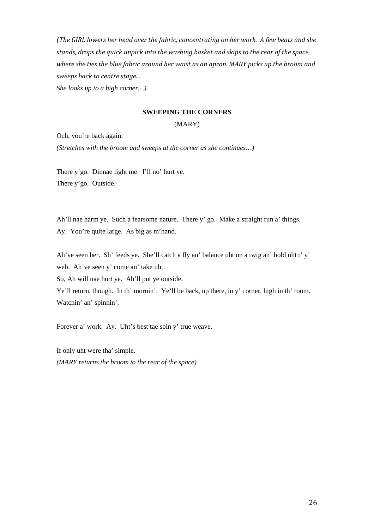*(The GIRL lowers her head over the fabric, concentrating on her work. A few beats and she stands, drops the quick unpick into the washing basket and skips to the rear of the space where she ties the blue fabric around her waist as an apron. MARY picks up the broom and sweeps back to centre stage...*

*She looks up to a high corner…)*

#### **SWEEPING THE CORNERS**

### (MARY)

Och, you're back again.

*(Stretches with the broom and sweeps at the corner as she continues…)*

There y'go. Dinnae fight me. I'll no' hurt ye. There y'go. Outside.

Ah'll nae harm ye. Such a fearsome nature. There y' go. Make a straight run a' things. Ay. You're quite large. As big as m'hand.

Ah've seen her. Sh' feeds ye. She'll catch a fly an' balance uht on a twig an' hold uht t' y' web. Ah've seen y' come an' take uht.

So, Ah will nae hurt ye. Ah'll put ye outside.

Ye'll return, though. In th' mornin'. Ye'll be back, up there, in y' corner, high in th' room. Watchin' an' spinnin'.

Forever a' work. Ay. Uht's best tae spin y' true weave.

If only uht were tha' simple. *(MARY returns the broom to the rear of the space)*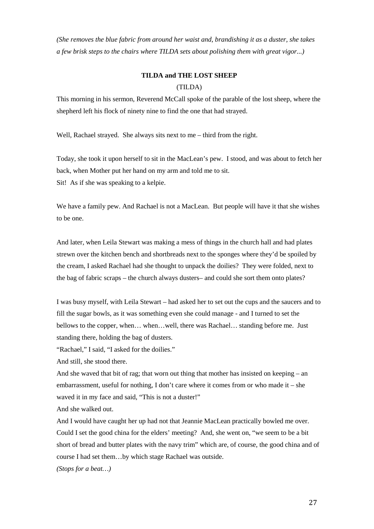*(She removes the blue fabric from around her waist and, brandishing it as a duster, she takes a few brisk steps to the chairs where TILDA sets about polishing them with great vigor...)*

# **TILDA and THE LOST SHEEP**

# (TILDA)

This morning in his sermon, Reverend McCall spoke of the parable of the lost sheep, where the shepherd left his flock of ninety nine to find the one that had strayed.

Well, Rachael strayed. She always sits next to me – third from the right.

Today, she took it upon herself to sit in the MacLean's pew. I stood, and was about to fetch her back, when Mother put her hand on my arm and told me to sit. Sit! As if she was speaking to a kelpie.

We have a family pew. And Rachael is not a MacLean. But people will have it that she wishes to be one.

And later, when Leila Stewart was making a mess of things in the church hall and had plates strewn over the kitchen bench and shortbreads next to the sponges where they'd be spoiled by the cream, I asked Rachael had she thought to unpack the doilies? They were folded, next to the bag of fabric scraps – the church always dusters– and could she sort them onto plates?

I was busy myself, with Leila Stewart – had asked her to set out the cups and the saucers and to fill the sugar bowls, as it was something even she could manage - and I turned to set the bellows to the copper, when… when…well, there was Rachael… standing before me. Just standing there, holding the bag of dusters.

"Rachael," I said, "I asked for the doilies."

And still, she stood there.

And she waved that bit of rag; that worn out thing that mother has insisted on keeping – an embarrassment, useful for nothing, I don't care where it comes from or who made it – she waved it in my face and said, "This is not a duster!"

And she walked out.

And I would have caught her up had not that Jeannie MacLean practically bowled me over. Could I set the good china for the elders' meeting? And, she went on, "we seem to be a bit short of bread and butter plates with the navy trim" which are, of course, the good china and of course I had set them…by which stage Rachael was outside.

*(Stops for a beat…)*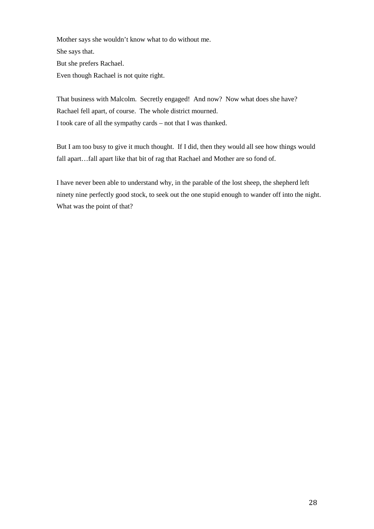Mother says she wouldn't know what to do without me. She says that. But she prefers Rachael. Even though Rachael is not quite right.

That business with Malcolm. Secretly engaged! And now? Now what does she have? Rachael fell apart, of course. The whole district mourned. I took care of all the sympathy cards – not that I was thanked.

But I am too busy to give it much thought. If I did, then they would all see how things would fall apart…fall apart like that bit of rag that Rachael and Mother are so fond of.

I have never been able to understand why, in the parable of the lost sheep, the shepherd left ninety nine perfectly good stock, to seek out the one stupid enough to wander off into the night. What was the point of that?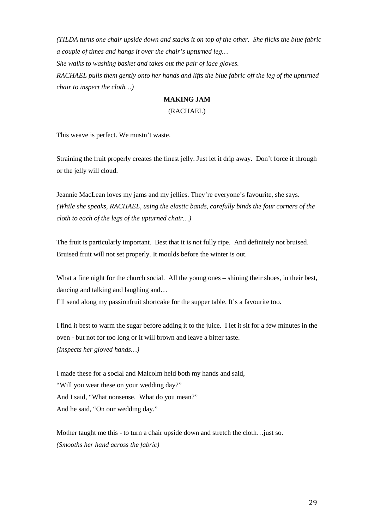*(TILDA turns one chair upside down and stacks it on top of the other. She flicks the blue fabric a couple of times and hangs it over the chair's upturned leg… She walks to washing basket and takes out the pair of lace gloves. RACHAEL pulls them gently onto her hands and lifts the blue fabric off the leg of the upturned chair to inspect the cloth…)*

# **MAKING JAM**

### (RACHAEL)

This weave is perfect. We mustn't waste.

Straining the fruit properly creates the finest jelly. Just let it drip away. Don't force it through or the jelly will cloud.

Jeannie MacLean loves my jams and my jellies. They're everyone's favourite, she says. *(While she speaks, RACHAEL, using the elastic bands, carefully binds the four corners of the cloth to each of the legs of the upturned chair…)* 

The fruit is particularly important. Best that it is not fully ripe. And definitely not bruised. Bruised fruit will not set properly. It moulds before the winter is out.

What a fine night for the church social. All the young ones – shining their shoes, in their best, dancing and talking and laughing and…

I'll send along my passionfruit shortcake for the supper table. It's a favourite too.

I find it best to warm the sugar before adding it to the juice. I let it sit for a few minutes in the oven - but not for too long or it will brown and leave a bitter taste. *(Inspects her gloved hands…)*

I made these for a social and Malcolm held both my hands and said, "Will you wear these on your wedding day?" And I said, "What nonsense. What do you mean?" And he said, "On our wedding day."

Mother taught me this - to turn a chair upside down and stretch the cloth…just so. *(Smooths her hand across the fabric)*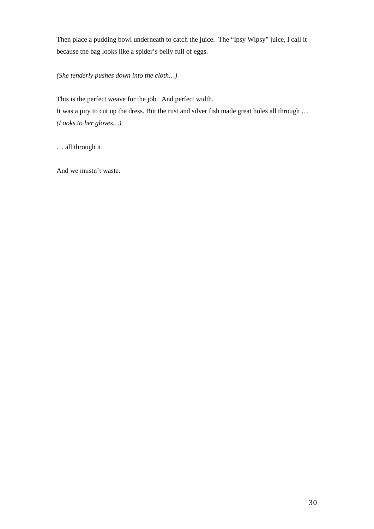Then place a pudding bowl underneath to catch the juice. The "Ipsy Wipsy" juice, I call it because the bag looks like a spider's belly full of eggs.

*(She tenderly pushes down into the cloth…)*

This is the perfect weave for the job. And perfect width. It was a pity to cut up the dress. But the rust and silver fish made great holes all through … *(Looks to her gloves…)*

… all through it.

And we mustn't waste.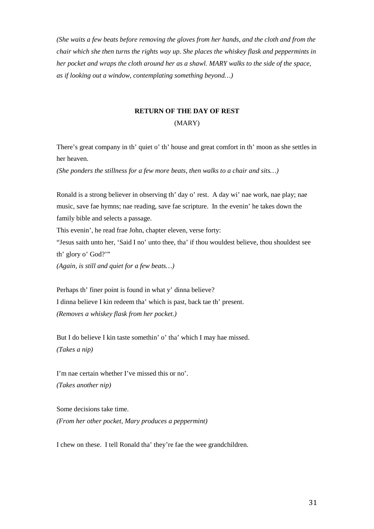*(She waits a few beats before removing the gloves from her hands, and the cloth and from the chair which she then turns the rights way up. She places the whiskey flask and peppermints in her pocket and wraps the cloth around her as a shawl. MARY walks to the side of the space, as if looking out a window, contemplating something beyond…)*

# **RETURN OF THE DAY OF REST** (MARY)

There's great company in th' quiet o' th' house and great comfort in th' moon as she settles in her heaven.

*(She ponders the stillness for a few more beats, then walks to a chair and sits…)*

Ronald is a strong believer in observing th' day o' rest. A day wi' nae work, nae play; nae music, save fae hymns; nae reading, save fae scripture. In the evenin' he takes down the family bible and selects a passage.

This evenin', he read frae John, chapter eleven, verse forty:

"Jesus saith unto her, 'Said I no' unto thee, tha' if thou wouldest believe, thou shouldest see th' glory o' God?'"

*(Again, is still and quiet for a few beats…)*

Perhaps th' finer point is found in what y' dinna believe? I dinna believe I kin redeem tha' which is past, back tae th' present. *(Removes a whiskey flask from her pocket.)*

But I do believe I kin taste somethin' o' tha' which I may hae missed. *(Takes a nip)*

I'm nae certain whether I've missed this or no'. *(Takes another nip)*

Some decisions take time. *(From her other pocket, Mary produces a peppermint)*

I chew on these. I tell Ronald tha' they're fae the wee grandchildren.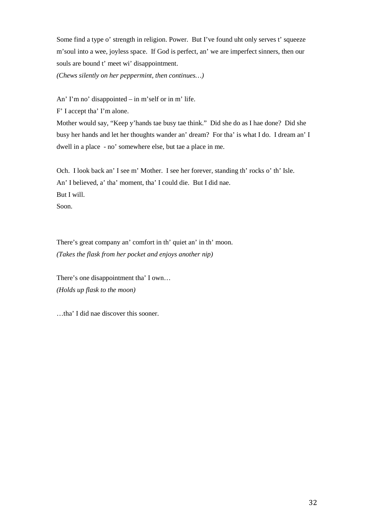Some find a type o' strength in religion. Power. But I've found uht only serves t' squeeze m'soul into a wee, joyless space. If God is perfect, an' we are imperfect sinners, then our souls are bound t' meet wi' disappointment.

*(Chews silently on her peppermint, then continues…)*

An' I'm no' disappointed – in m'self or in m' life.

F' I accept tha' I'm alone.

Mother would say, "Keep y'hands tae busy tae think." Did she do as I hae done? Did she busy her hands and let her thoughts wander an' dream? For tha' is what I do. I dream an' I dwell in a place - no' somewhere else, but tae a place in me.

Och. I look back an' I see m' Mother. I see her forever, standing th' rocks o' th' Isle. An' I believed, a' tha' moment, tha' I could die. But I did nae. But I will. Soon.

There's great company an' comfort in th' quiet an' in th' moon. *(Takes the flask from her pocket and enjoys another nip)*

There's one disappointment tha' I own… *(Holds up flask to the moon)*

…tha' I did nae discover this sooner.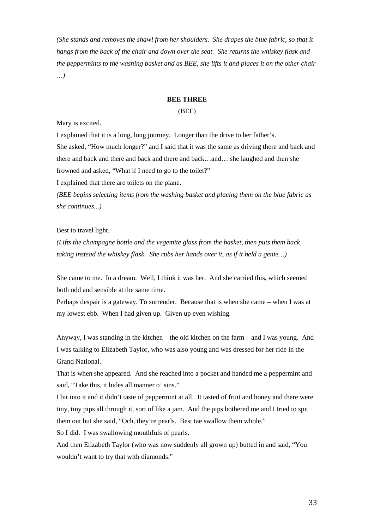*(She stands and removes the shawl from her shoulders. She drapes the blue fabric, so that it hangs from the back of the chair and down over the seat. She returns the whiskey flask and the peppermints to the washing basket and as BEE, she lifts it and places it on the other chair …)*

# **BEE THREE**

### (BEE)

Mary is excited.

I explained that it is a long, long journey. Longer than the drive to her father's. She asked, "How much longer?" and I said that it was the same as driving there and back and there and back and there and back and there and back…and… she laughed and then she frowned and asked, "What if I need to go to the toilet?"

I explained that there are toilets on the plane.

*(BEE begins selecting items from the washing basket and placing them on the blue fabric as she continues...)*

# Best to travel light.

*(Lifts the champagne bottle and the vegemite glass from the basket, then puts them back, taking instead the whiskey flask. She rubs her hands over it, as if it held a genie…)*

She came to me. In a dream. Well, I think it was her. And she carried this, which seemed both odd and sensible at the same time.

Perhaps despair is a gateway. To surrender. Because that is when she came – when I was at my lowest ebb. When I had given up. Given up even wishing.

Anyway, I was standing in the kitchen – the old kitchen on the farm – and I was young. And I was talking to Elizabeth Taylor, who was also young and was dressed for her ride in the Grand National.

That is when she appeared. And she reached into a pocket and handed me a peppermint and said, "Take this, it hides all manner o' sins."

I bit into it and it didn't taste of peppermint at all. It tasted of fruit and honey and there were tiny, tiny pips all through it, sort of like a jam. And the pips bothered me and I tried to spit them out but she said, "Och, they're pearls. Best tae swallow them whole."

So I did. I was swallowing mouthfuls of pearls.

And then Elizabeth Taylor (who was now suddenly all grown up) butted in and said, "You wouldn't want to try that with diamonds."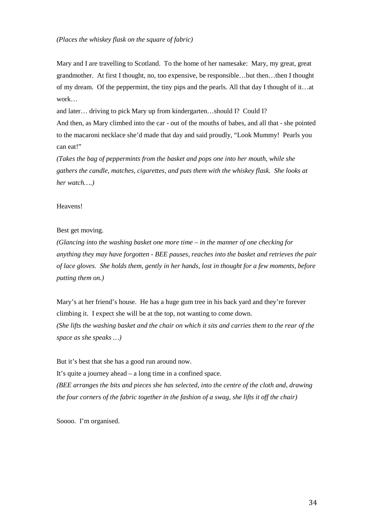Mary and I are travelling to Scotland. To the home of her namesake: Mary, my great, great grandmother. At first I thought, no, too expensive, be responsible…but then…then I thought of my dream. Of the peppermint, the tiny pips and the pearls. All that day I thought of it…at work…

and later… driving to pick Mary up from kindergarten…should I? Could I?

And then, as Mary climbed into the car - out of the mouths of babes, and all that - she pointed to the macaroni necklace she'd made that day and said proudly, "Look Mummy! Pearls you can eat!"

*(Takes the bag of peppermints from the basket and pops one into her mouth, while she gathers the candle, matches, cigarettes, and puts them with the whiskey flask. She looks at her watch….)*

### Heavens!

### Best get moving.

*(Glancing into the washing basket one more time – in the manner of one checking for anything they may have forgotten - BEE pauses, reaches into the basket and retrieves the pair of lace gloves. She holds them, gently in her hands, lost in thought for a few moments, before putting them on.)*

Mary's at her friend's house. He has a huge gum tree in his back yard and they're forever climbing it. I expect she will be at the top, not wanting to come down. *(She lifts the washing basket and the chair on which it sits and carries them to the rear of the space as she speaks …)*

But it's best that she has a good run around now.

It's quite a journey ahead – a long time in a confined space.

*(BEE arranges the bits and pieces she has selected, into the centre of the cloth and, drawing the four corners of the fabric together in the fashion of a swag, she lifts it off the chair)*

Soooo. I'm organised.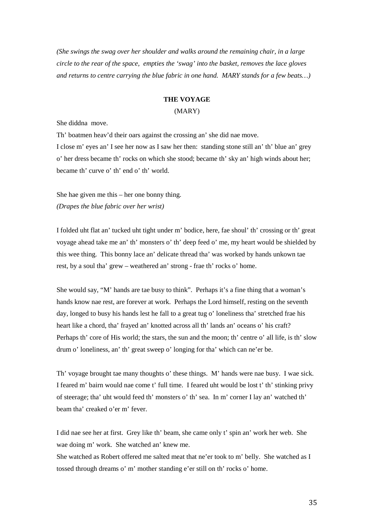*(She swings the swag over her shoulder and walks around the remaining chair, in a large circle to the rear of the space, empties the 'swag' into the basket, removes the lace gloves and returns to centre carrying the blue fabric in one hand. MARY stands for a few beats…)*

### **THE VOYAGE**

#### (MARY)

She diddna move.

Th' boatmen heav'd their oars against the crossing an' she did nae move.

I close m' eyes an' I see her now as I saw her then: standing stone still an' th' blue an' grey o' her dress became th' rocks on which she stood; became th' sky an' high winds about her; became th' curve o' th' end o' th' world.

She hae given me this – her one bonny thing. *(Drapes the blue fabric over her wrist)*

I folded uht flat an' tucked uht tight under m' bodice, here, fae shoul' th' crossing or th' great voyage ahead take me an' th' monsters o' th' deep feed o' me, my heart would be shielded by this wee thing. This bonny lace an' delicate thread tha' was worked by hands unkown tae rest, by a soul tha' grew – weathered an' strong - frae th' rocks o' home.

She would say, "M' hands are tae busy to think". Perhaps it's a fine thing that a woman's hands know nae rest, are forever at work. Perhaps the Lord himself, resting on the seventh day, longed to busy his hands lest he fall to a great tug o' loneliness tha' stretched frae his heart like a chord, tha' frayed an' knotted across all th' lands an' oceans o' his craft? Perhaps th' core of His world; the stars, the sun and the moon; th' centre o' all life, is th' slow drum o' loneliness, an' th' great sweep o' longing for tha' which can ne'er be.

Th' voyage brought tae many thoughts o' these things. M' hands were nae busy. I wae sick. I feared m' bairn would nae come t' full time. I feared uht would be lost t' th' stinking privy of steerage; tha' uht would feed th' monsters o' th' sea. In m' corner I lay an' watched th' beam tha' creaked o'er m' fever.

I did nae see her at first. Grey like th' beam, she came only t' spin an' work her web. She wae doing m' work. She watched an' knew me.

She watched as Robert offered me salted meat that ne'er took to m' belly. She watched as I tossed through dreams o' m' mother standing e'er still on th' rocks o' home.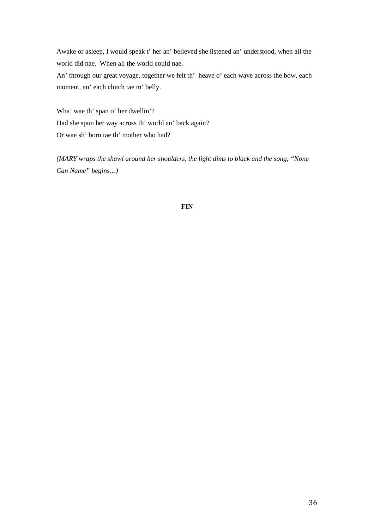Awake or asleep, I would speak t' her an' believed she listened an' understood, when all the world did nae. When all the world could nae.

An' through our great voyage, together we felt th' heave o' each wave across the bow, each moment, an' each clutch tae m' belly.

Wha' wae th' span o' her dwellin'? Had she spun her way across th' world an' back again? Or wae sh' born tae th' mother who had?

*(MARY wraps the shawl around her shoulders, the light dims to black and the song, "None Can Name" begins…)*

## **FIN**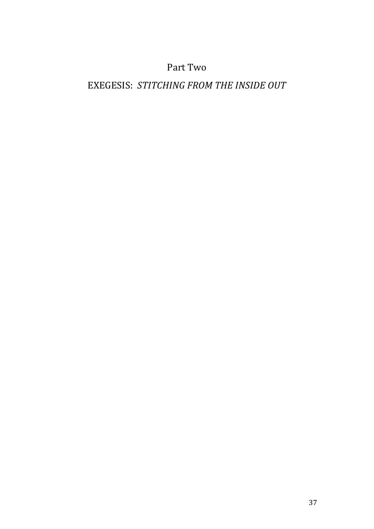# Part Two

# EXEGESIS: *STITCHING FROM THE INSIDE OUT*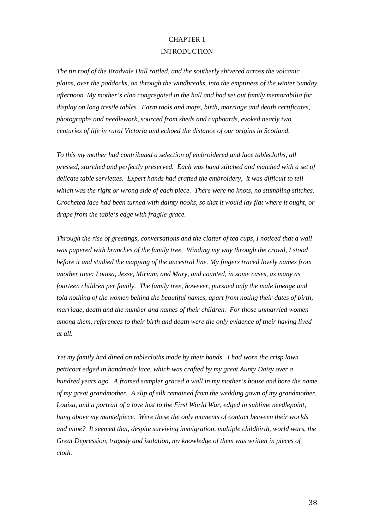## CHAPTER 1 **INTRODUCTION**

*The tin roof of the Bradvale Hall rattled, and the southerly shivered across the volcanic plains, over the paddocks, on through the windbreaks, into the emptiness of the winter Sunday afternoon. My mother's clan congregated in the hall and had set out family memorabilia for display on long trestle tables. Farm tools and maps, birth, marriage and death certificates, photographs and needlework, sourced from sheds and cupboards, evoked nearly two centuries of life in rural Victoria and echoed the distance of our origins in Scotland.* 

*To this my mother had contributed a selection of embroidered and lace tablecloths, all pressed, starched and perfectly preserved. Each was hand stitched and matched with a set of delicate table serviettes. Expert hands had crafted the embroidery, it was difficult to tell which was the right or wrong side of each piece. There were no knots, no stumbling stitches. Crocheted lace had been turned with dainty hooks, so that it would lay flat where it ought, or drape from the table's edge with fragile grace.*

*Through the rise of greetings, conversations and the clatter of tea cups, I noticed that a wall was papered with branches of the family tree. Winding my way through the crowd, I stood before it and studied the mapping of the ancestral line. My fingers traced lovely names from another time: Louisa, Jesse, Miriam, and Mary, and counted, in some cases, as many as fourteen children per family. The family tree, however, pursued only the male lineage and told nothing of the women behind the beautiful names, apart from noting their dates of birth, marriage, death and the number and names of their children. For those unmarried women among them, references to their birth and death were the only evidence of their having lived at all.*

*Yet my family had dined on tablecloths made by their hands. I had worn the crisp lawn petticoat edged in handmade lace, which was crafted by my great Aunty Daisy over a hundred years ago. A framed sampler graced a wall in my mother's house and bore the name of my great grandmother. A slip of silk remained from the wedding gown of my grandmother, Louisa, and a portrait of a love lost to the First World War, edged in sublime needlepoint, hung above my mantelpiece. Were these the only moments of contact between their worlds and mine? It seemed that, despite surviving immigration, multiple childbirth, world wars, the Great Depression, tragedy and isolation, my knowledge of them was written in pieces of cloth.*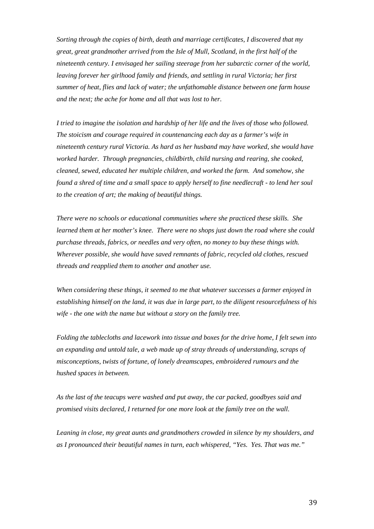*Sorting through the copies of birth, death and marriage certificates, I discovered that my great, great grandmother arrived from the Isle of Mull, Scotland, in the first half of the nineteenth century. I envisaged her sailing steerage from her subarctic corner of the world, leaving forever her girlhood family and friends, and settling in rural Victoria; her first summer of heat, flies and lack of water; the unfathomable distance between one farm house and the next; the ache for home and all that was lost to her.*

*I tried to imagine the isolation and hardship of her life and the lives of those who followed. The stoicism and courage required in countenancing each day as a farmer's wife in nineteenth century rural Victoria. As hard as her husband may have worked, she would have worked harder. Through pregnancies, childbirth, child nursing and rearing, she cooked, cleaned, sewed, educated her multiple children, and worked the farm. And somehow, she found a shred of time and a small space to apply herself to fine needlecraft - to lend her soul to the creation of art; the making of beautiful things.*

*There were no schools or educational communities where she practiced these skills. She learned them at her mother's knee. There were no shops just down the road where she could purchase threads, fabrics, or needles and very often, no money to buy these things with. Wherever possible, she would have saved remnants of fabric, recycled old clothes, rescued threads and reapplied them to another and another use.* 

*When considering these things, it seemed to me that whatever successes a farmer enjoyed in establishing himself on the land, it was due in large part, to the diligent resourcefulness of his wife - the one with the name but without a story on the family tree.*

*Folding the tablecloths and lacework into tissue and boxes for the drive home, I felt sewn into an expanding and untold tale, a web made up of stray threads of understanding, scraps of misconceptions, twists of fortune, of lonely dreamscapes, embroidered rumours and the hushed spaces in between.*

*As the last of the teacups were washed and put away, the car packed, goodbyes said and promised visits declared, I returned for one more look at the family tree on the wall.* 

*Leaning in close, my great aunts and grandmothers crowded in silence by my shoulders, and as I pronounced their beautiful names in turn, each whispered, "Yes. Yes. That was me."*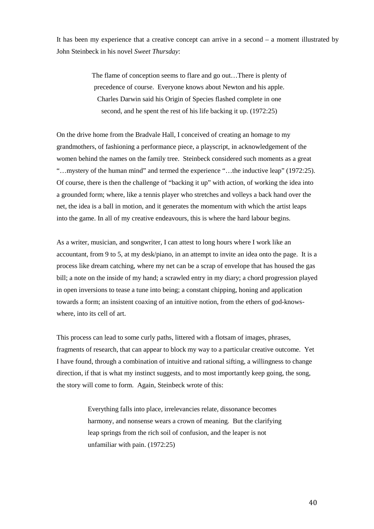It has been my experience that a creative concept can arrive in a second – a moment illustrated by John Steinbeck in his novel *Sweet Thursday*:

> The flame of conception seems to flare and go out…There is plenty of precedence of course. Everyone knows about Newton and his apple. Charles Darwin said his Origin of Species flashed complete in one second, and he spent the rest of his life backing it up. (1972:25)

On the drive home from the Bradvale Hall, I conceived of creating an homage to my grandmothers, of fashioning a performance piece, a playscript, in acknowledgement of the women behind the names on the family tree. Steinbeck considered such moments as a great "…mystery of the human mind" and termed the experience "…the inductive leap" (1972:25). Of course, there is then the challenge of "backing it up" with action, of working the idea into a grounded form; where, like a tennis player who stretches and volleys a back hand over the net, the idea is a ball in motion, and it generates the momentum with which the artist leaps into the game. In all of my creative endeavours, this is where the hard labour begins.

As a writer, musician, and songwriter, I can attest to long hours where I work like an accountant, from 9 to 5, at my desk/piano, in an attempt to invite an idea onto the page. It is a process like dream catching, where my net can be a scrap of envelope that has housed the gas bill; a note on the inside of my hand; a scrawled entry in my diary; a chord progression played in open inversions to tease a tune into being; a constant chipping, honing and application towards a form; an insistent coaxing of an intuitive notion, from the ethers of god-knowswhere, into its cell of art.

This process can lead to some curly paths, littered with a flotsam of images, phrases, fragments of research, that can appear to block my way to a particular creative outcome. Yet I have found, through a combination of intuitive and rational sifting, a willingness to change direction, if that is what my instinct suggests, and to most importantly keep going, the song, the story will come to form. Again, Steinbeck wrote of this:

> Everything falls into place, irrelevancies relate, dissonance becomes harmony, and nonsense wears a crown of meaning. But the clarifying leap springs from the rich soil of confusion, and the leaper is not unfamiliar with pain. (1972:25)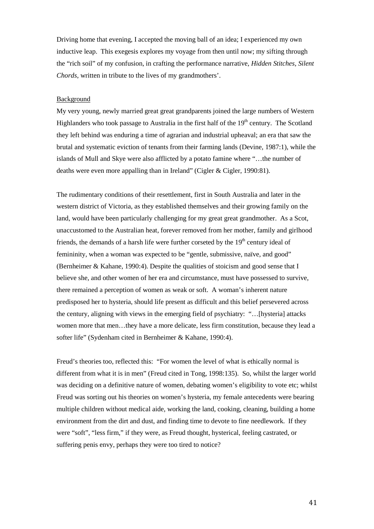Driving home that evening, I accepted the moving ball of an idea; I experienced my own inductive leap. This exegesis explores my voyage from then until now; my sifting through the "rich soil" of my confusion, in crafting the performance narrative, *Hidden Stitches, Silent Chords*, written in tribute to the lives of my grandmothers'.

#### Background

My very young, newly married great great grandparents joined the large numbers of Western Highlanders who took passage to Australia in the first half of the 19<sup>th</sup> century. The Scotland they left behind was enduring a time of agrarian and industrial upheaval; an era that saw the brutal and systematic eviction of tenants from their farming lands (Devine, 1987:1), while the islands of Mull and Skye were also afflicted by a potato famine where "…the number of deaths were even more appalling than in Ireland" (Cigler & Cigler, 1990:81).

The rudimentary conditions of their resettlement, first in South Australia and later in the western district of Victoria, as they established themselves and their growing family on the land, would have been particularly challenging for my great great grandmother. As a Scot, unaccustomed to the Australian heat, forever removed from her mother, family and girlhood friends, the demands of a harsh life were further corseted by the  $19<sup>th</sup>$  century ideal of femininity, when a woman was expected to be "gentle, submissive, naïve, and good" (Bernheimer & Kahane, 1990:4). Despite the qualities of stoicism and good sense that I believe she, and other women of her era and circumstance, must have possessed to survive, there remained a perception of women as weak or soft. A woman's inherent nature predisposed her to hysteria, should life present as difficult and this belief persevered across the century, aligning with views in the emerging field of psychiatry: "…[hysteria] attacks women more that men…they have a more delicate, less firm constitution, because they lead a softer life" (Sydenham cited in Bernheimer & Kahane, 1990:4).

Freud's theories too, reflected this: "For women the level of what is ethically normal is different from what it is in men" (Freud cited in Tong, 1998:135). So, whilst the larger world was deciding on a definitive nature of women, debating women's eligibility to vote etc; whilst Freud was sorting out his theories on women's hysteria, my female antecedents were bearing multiple children without medical aide, working the land, cooking, cleaning, building a home environment from the dirt and dust, and finding time to devote to fine needlework. If they were "soft", "less firm," if they were, as Freud thought, hysterical, feeling castrated, or suffering penis envy, perhaps they were too tired to notice?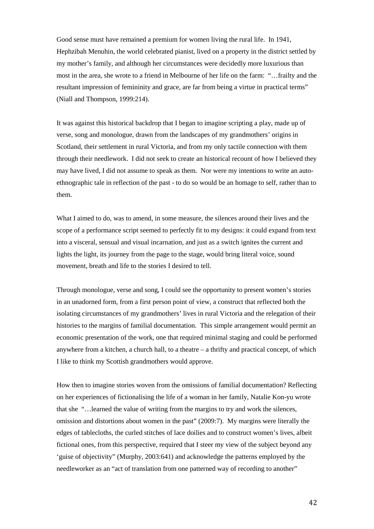Good sense must have remained a premium for women living the rural life. In 1941, Hephzibah Menuhin, the world celebrated pianist, lived on a property in the district settled by my mother's family, and although her circumstances were decidedly more luxurious than most in the area, she wrote to a friend in Melbourne of her life on the farm: "…frailty and the resultant impression of femininity and grace, are far from being a virtue in practical terms" (Niall and Thompson, 1999:214).

It was against this historical backdrop that I began to imagine scripting a play, made up of verse, song and monologue, drawn from the landscapes of my grandmothers' origins in Scotland, their settlement in rural Victoria, and from my only tactile connection with them through their needlework. I did not seek to create an historical recount of how I believed they may have lived, I did not assume to speak as them. Nor were my intentions to write an autoethnographic tale in reflection of the past - to do so would be an homage to self, rather than to them.

What I aimed to do, was to amend, in some measure, the silences around their lives and the scope of a performance script seemed to perfectly fit to my designs: it could expand from text into a visceral, sensual and visual incarnation, and just as a switch ignites the current and lights the light, its journey from the page to the stage, would bring literal voice, sound movement, breath and life to the stories I desired to tell.

Through monologue, verse and song, I could see the opportunity to present women's stories in an unadorned form, from a first person point of view, a construct that reflected both the isolating circumstances of my grandmothers' lives in rural Victoria and the relegation of their histories to the margins of familial documentation. This simple arrangement would permit an economic presentation of the work, one that required minimal staging and could be performed anywhere from a kitchen, a church hall, to a theatre – a thrifty and practical concept, of which I like to think my Scottish grandmothers would approve.

How then to imagine stories woven from the omissions of familial documentation? Reflecting on her experiences of fictionalising the life of a woman in her family, Natalie Kon-yu wrote that she "…learned the value of writing from the margins to try and work the silences, omission and distortions about women in the past" (2009:7). My margins were literally the edges of tablecloths, the curled stitches of lace doilies and to construct women's lives, albeit fictional ones, from this perspective, required that I steer my view of the subject beyond any 'guise of objectivity" (Murphy, 2003:641) and acknowledge the patterns employed by the needleworker as an "act of translation from one patterned way of recording to another"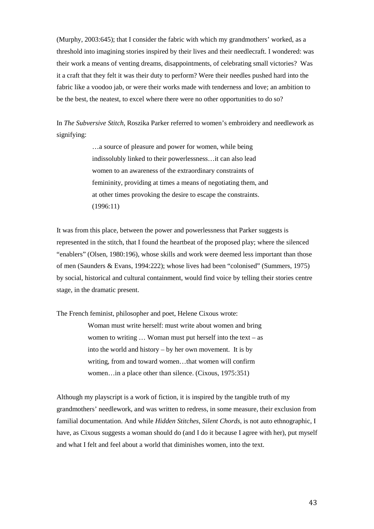(Murphy, 2003:645); that I consider the fabric with which my grandmothers' worked, as a threshold into imagining stories inspired by their lives and their needlecraft. I wondered: was their work a means of venting dreams, disappointments, of celebrating small victories? Was it a craft that they felt it was their duty to perform? Were their needles pushed hard into the fabric like a voodoo jab, or were their works made with tenderness and love; an ambition to be the best, the neatest, to excel where there were no other opportunities to do so?

In *The Subversive Stitch*, Roszika Parker referred to women's embroidery and needlework as signifying:

> …a source of pleasure and power for women, while being indissolubly linked to their powerlessness…it can also lead women to an awareness of the extraordinary constraints of femininity, providing at times a means of negotiating them, and at other times provoking the desire to escape the constraints. (1996:11)

It was from this place, between the power and powerlessness that Parker suggests is represented in the stitch, that I found the heartbeat of the proposed play; where the silenced "enablers" (Olsen, 1980:196), whose skills and work were deemed less important than those of men (Saunders & Evans, 1994:222); whose lives had been "colonised" (Summers, 1975) by social, historical and cultural containment, would find voice by telling their stories centre stage, in the dramatic present.

The French feminist, philosopher and poet, Helene Cixous wrote:

Woman must write herself: must write about women and bring women to writing  $\ldots$  Woman must put herself into the text – as into the world and history – by her own movement. It is by writing, from and toward women…that women will confirm women…in a place other than silence. (Cixous, 1975:351)

Although my playscript is a work of fiction, it is inspired by the tangible truth of my grandmothers' needlework, and was written to redress, in some measure, their exclusion from familial documentation. And while *Hidden Stitches, Silent Chords*, is not auto ethnographic, I have, as Cixous suggests a woman should do (and I do it because I agree with her), put myself and what I felt and feel about a world that diminishes women, into the text.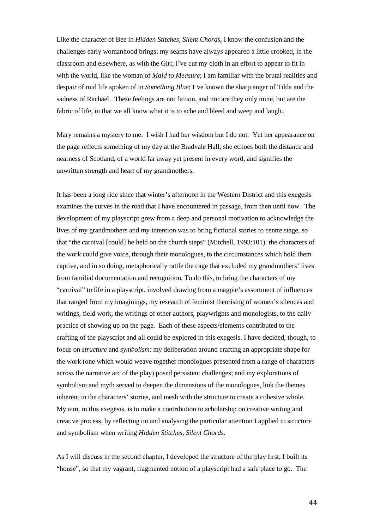Like the character of Bee in *Hidden Stitches, Silent Chords*, I know the confusion and the challenges early womanhood brings; my seams have always appeared a little crooked, in the classroom and elsewhere, as with the Girl; I've cut my cloth in an effort to appear to fit in with the world, like the woman of *Maid to Measure*; I am familiar with the brutal realities and despair of mid life spoken of in *Something Blue*; I've known the sharp anger of Tilda and the sadness of Rachael. These feelings are not fiction, and nor are they only mine, but are the fabric of life, in that we all know what it is to ache and bleed and weep and laugh.

Mary remains a mystery to me. I wish I had her wisdom but I do not. Yet her appearance on the page reflects something of my day at the Bradvale Hall; she echoes both the distance and nearness of Scotland, of a world far away yet present in every word, and signifies the unwritten strength and heart of my grandmothers.

It has been a long ride since that winter's afternoon in the Western District and this exegesis examines the curves in the road that I have encountered in passage, from then until now. The development of my playscript grew from a deep and personal motivation to acknowledge the lives of my grandmothers and my intention was to bring fictional stories to centre stage, so that "the carnival [could] be held on the church steps" (Mitchell, 1993:101): the characters of the work could give voice, through their monologues, to the circumstances which hold them captive, and in so doing, metaphorically rattle the cage that excluded my grandmothers' lives from familial documentation and recognition. To do this, to bring the characters of my "carnival" to life in a playscript, involved drawing from a magpie's assortment of influences that ranged from my imaginings, my research of feminist theorising of women's silences and writings, field work, the writings of other authors, playwrights and monologists, to the daily practice of showing up on the page. Each of these aspects/elements contributed to the crafting of the playscript and all could be explored in this exegesis. I have decided, though, to focus on *structure* and *symbolism*: my deliberation around crafting an appropriate shape for the work (one which would weave together monologues presented from a range of characters across the narrative arc of the play) posed persistent challenges; and my explorations of symbolism and myth served to deepen the dimensions of the monologues, link the themes inherent in the characters' stories, and mesh with the structure to create a cohesive whole. My aim, in this exegesis, is to make a contribution to scholarship on creative writing and creative process, by reflecting on and analysing the particular attention I applied to structure and symbolism when writing *Hidden Stitches, Silent Chords*.

As I will discuss in the second chapter, I developed the structure of the play first; I built its "house", so that my vagrant, fragmented notion of a playscript had a safe place to go. The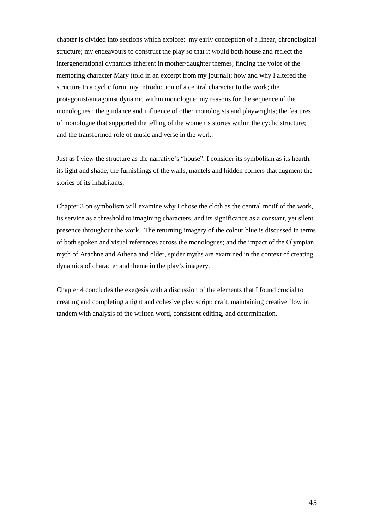chapter is divided into sections which explore: my early conception of a linear, chronological structure; my endeavours to construct the play so that it would both house and reflect the intergenerational dynamics inherent in mother/daughter themes; finding the voice of the mentoring character Mary (told in an excerpt from my journal); how and why I altered the structure to a cyclic form; my introduction of a central character to the work; the protagonist/antagonist dynamic within monologue; my reasons for the sequence of the monologues ; the guidance and influence of other monologists and playwrights; the features of monologue that supported the telling of the women's stories within the cyclic structure; and the transformed role of music and verse in the work.

Just as I view the structure as the narrative's "house", I consider its symbolism as its hearth, its light and shade, the furnishings of the walls, mantels and hidden corners that augment the stories of its inhabitants.

Chapter 3 on symbolism will examine why I chose the cloth as the central motif of the work, its service as a threshold to imagining characters, and its significance as a constant, yet silent presence throughout the work. The returning imagery of the colour blue is discussed in terms of both spoken and visual references across the monologues; and the impact of the Olympian myth of Arachne and Athena and older, spider myths are examined in the context of creating dynamics of character and theme in the play's imagery.

Chapter 4 concludes the exegesis with a discussion of the elements that I found crucial to creating and completing a tight and cohesive play script: craft, maintaining creative flow in tandem with analysis of the written word, consistent editing, and determination.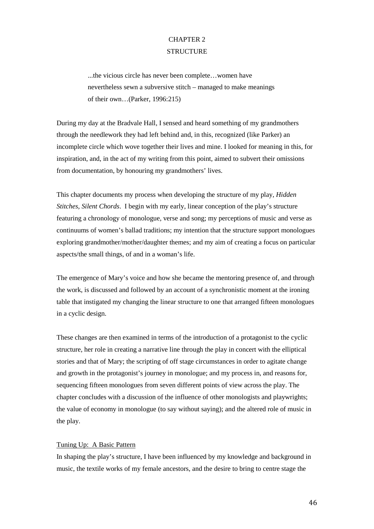# CHAPTER 2 **STRUCTURE**

...the vicious circle has never been complete…women have nevertheless sewn a subversive stitch – managed to make meanings of their own…(Parker, 1996:215)

During my day at the Bradvale Hall, I sensed and heard something of my grandmothers through the needlework they had left behind and, in this, recognized (like Parker) an incomplete circle which wove together their lives and mine. I looked for meaning in this, for inspiration, and, in the act of my writing from this point, aimed to subvert their omissions from documentation, by honouring my grandmothers' lives.

This chapter documents my process when developing the structure of my play, *Hidden Stitches, Silent Chords*. I begin with my early, linear conception of the play's structure featuring a chronology of monologue, verse and song; my perceptions of music and verse as continuums of women's ballad traditions; my intention that the structure support monologues exploring grandmother/mother/daughter themes; and my aim of creating a focus on particular aspects/the small things, of and in a woman's life.

The emergence of Mary's voice and how she became the mentoring presence of, and through the work, is discussed and followed by an account of a synchronistic moment at the ironing table that instigated my changing the linear structure to one that arranged fifteen monologues in a cyclic design.

These changes are then examined in terms of the introduction of a protagonist to the cyclic structure, her role in creating a narrative line through the play in concert with the elliptical stories and that of Mary; the scripting of off stage circumstances in order to agitate change and growth in the protagonist's journey in monologue; and my process in, and reasons for, sequencing fifteen monologues from seven different points of view across the play. The chapter concludes with a discussion of the influence of other monologists and playwrights; the value of economy in monologue (to say without saying); and the altered role of music in the play.

## Tuning Up: A Basic Pattern

In shaping the play's structure, I have been influenced by my knowledge and background in music, the textile works of my female ancestors, and the desire to bring to centre stage the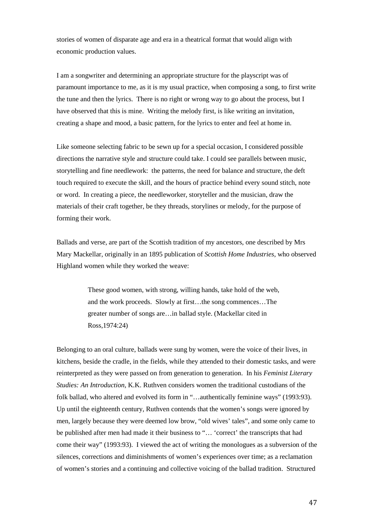stories of women of disparate age and era in a theatrical format that would align with economic production values.

I am a songwriter and determining an appropriate structure for the playscript was of paramount importance to me, as it is my usual practice, when composing a song, to first write the tune and then the lyrics. There is no right or wrong way to go about the process, but I have observed that this is mine. Writing the melody first, is like writing an invitation, creating a shape and mood, a basic pattern, for the lyrics to enter and feel at home in.

Like someone selecting fabric to be sewn up for a special occasion, I considered possible directions the narrative style and structure could take. I could see parallels between music, storytelling and fine needlework: the patterns, the need for balance and structure, the deft touch required to execute the skill, and the hours of practice behind every sound stitch, note or word. In creating a piece, the needleworker, storyteller and the musician, draw the materials of their craft together, be they threads, storylines or melody, for the purpose of forming their work.

Ballads and verse, are part of the Scottish tradition of my ancestors, one described by Mrs Mary Mackellar, originally in an 1895 publication of *Scottish Home Industries*, who observed Highland women while they worked the weave:

> These good women, with strong, willing hands, take hold of the web, and the work proceeds. Slowly at first…the song commences…The greater number of songs are…in ballad style. (Mackellar cited in Ross,1974:24)

Belonging to an oral culture, ballads were sung by women, were the voice of their lives, in kitchens, beside the cradle, in the fields, while they attended to their domestic tasks, and were reinterpreted as they were passed on from generation to generation. In his *Feminist Literary Studies: An Introduction*, K.K. Ruthven considers women the traditional custodians of the folk ballad, who altered and evolved its form in "...authentically feminine ways" (1993:93). Up until the eighteenth century, Ruthven contends that the women's songs were ignored by men, largely because they were deemed low brow, "old wives' tales", and some only came to be published after men had made it their business to "… 'correct' the transcripts that had come their way" (1993:93). I viewed the act of writing the monologues as a subversion of the silences, corrections and diminishments of women's experiences over time; as a reclamation of women's stories and a continuing and collective voicing of the ballad tradition. Structured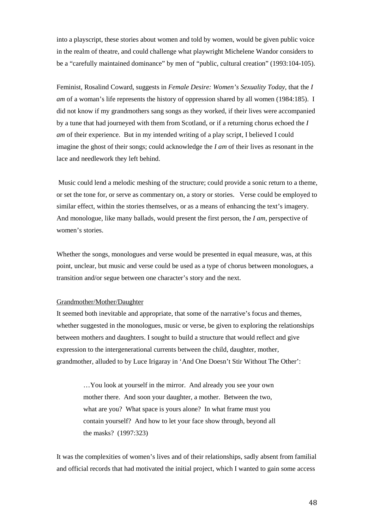into a playscript, these stories about women and told by women, would be given public voice in the realm of theatre, and could challenge what playwright Michelene Wandor considers to be a "carefully maintained dominance" by men of "public, cultural creation" (1993:104-105).

Feminist, Rosalind Coward, suggests in *Female Desire: Women's Sexuality Today*, that the *I am* of a woman's life represents the history of oppression shared by all women (1984:185). I did not know if my grandmothers sang songs as they worked, if their lives were accompanied by a tune that had journeyed with them from Scotland, or if a returning chorus echoed the *I am* of their experience. But in my intended writing of a play script, I believed I could imagine the ghost of their songs; could acknowledge the *I am* of their lives as resonant in the lace and needlework they left behind.

Music could lend a melodic meshing of the structure; could provide a sonic return to a theme, or set the tone for, or serve as commentary on, a story or stories. Verse could be employed to similar effect, within the stories themselves, or as a means of enhancing the text's imagery. And monologue, like many ballads, would present the first person, the *I am*, perspective of women's stories.

Whether the songs, monologues and verse would be presented in equal measure, was, at this point, unclear, but music and verse could be used as a type of chorus between monologues, a transition and/or segue between one character's story and the next.

## Grandmother/Mother/Daughter

It seemed both inevitable and appropriate, that some of the narrative's focus and themes, whether suggested in the monologues, music or verse, be given to exploring the relationships between mothers and daughters. I sought to build a structure that would reflect and give expression to the intergenerational currents between the child, daughter, mother, grandmother, alluded to by Luce Irigaray in 'And One Doesn't Stir Without The Other':

> …You look at yourself in the mirror. And already you see your own mother there. And soon your daughter, a mother. Between the two, what are you? What space is yours alone? In what frame must you contain yourself? And how to let your face show through, beyond all the masks? (1997:323)

It was the complexities of women's lives and of their relationships, sadly absent from familial and official records that had motivated the initial project, which I wanted to gain some access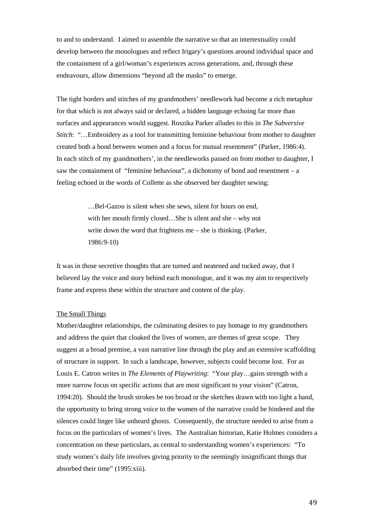to and to understand. I aimed to assemble the narrative so that an intertextuality could develop between the monologues and reflect Irigary's questions around individual space and the containment of a girl/woman's experiences across generations, and, through these endeavours, allow dimensions "beyond all the masks" to emerge.

The tight borders and stitches of my grandmothers' needlework had become a rich metaphor for that which is not always said or declared, a hidden language echoing far more than surfaces and appearances would suggest. Roszika Parker alludes to this in *The Subversive Stitch*: "…Embroidery as a tool for transmitting feminine behaviour from mother to daughter created both a bond between women and a focus for mutual resentment" (Parker, 1986:4). In each stitch of my grandmothers', in the needleworks passed on from mother to daughter, I saw the containment of "feminine behaviour", a dichotomy of bond and resentment – a feeling echoed in the words of Collette as she observed her daughter sewing:

> …Bel-Gazou is silent when she sews, silent for hours on end, with her mouth firmly closed…She is silent and she – why not write down the word that frightens me – she is thinking. (Parker, 1986:9-10)

It was in those secretive thoughts that are turned and neatened and tucked away, that I believed lay the voice and story behind each monologue, and it was my aim to respectively frame and express these within the structure and content of the play.

#### The Small Things

Mother/daughter relationships, the culminating desires to pay homage to my grandmothers and address the quiet that cloaked the lives of women, are themes of great scope. They suggest at a broad premise, a vast narrative line through the play and an extensive scaffolding of structure in support. In such a landscape, however, subjects could become lost. For as Louis E. Catron writes in *The Elements of Playwriting*: "Your play…gains strength with a more narrow focus on specific actions that are most significant to your vision" (Catron, 1994:20). Should the brush strokes be too broad or the sketches drawn with too light a hand, the opportunity to bring strong voice to the women of the narrative could be hindered and the silences could linger like unheard ghosts. Consequently, the structure needed to arise from a focus on the particulars of women's lives. The Australian historian, Katie Holmes considers a concentration on these particulars, as central to understanding women's experiences: "To study women's daily life involves giving priority to the seemingly insignificant things that absorbed their time" (1995:xiii).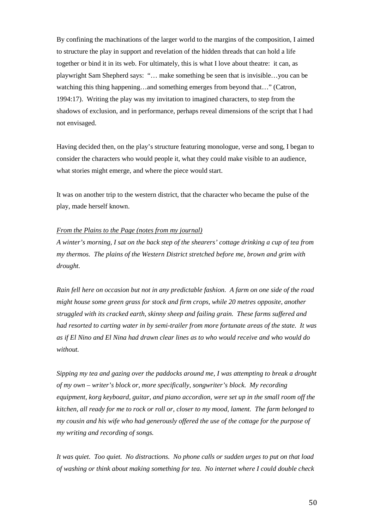By confining the machinations of the larger world to the margins of the composition, I aimed to structure the play in support and revelation of the hidden threads that can hold a life together or bind it in its web. For ultimately, this is what I love about theatre: it can, as playwright Sam Shepherd says: "… make something be seen that is invisible…you can be watching this thing happening…and something emerges from beyond that…" (Catron, 1994:17). Writing the play was my invitation to imagined characters, to step from the shadows of exclusion, and in performance, perhaps reveal dimensions of the script that I had not envisaged.

Having decided then, on the play's structure featuring monologue, verse and song, I began to consider the characters who would people it, what they could make visible to an audience, what stories might emerge, and where the piece would start.

It was on another trip to the western district, that the character who became the pulse of the play, made herself known.

## *From the Plains to the Page (notes from my journal)*

*A winter's morning, I sat on the back step of the shearers' cottage drinking a cup of tea from my thermos. The plains of the Western District stretched before me, brown and grim with drought.*

*Rain fell here on occasion but not in any predictable fashion. A farm on one side of the road might house some green grass for stock and firm crops, while 20 metres opposite, another struggled with its cracked earth, skinny sheep and failing grain. These farms suffered and had resorted to carting water in by semi-trailer from more fortunate areas of the state. It was as if El Nino and El Nina had drawn clear lines as to who would receive and who would do without.*

*Sipping my tea and gazing over the paddocks around me, I was attempting to break a drought of my own – writer's block or, more specifically, songwriter's block. My recording equipment, korg keyboard, guitar, and piano accordion, were set up in the small room off the kitchen, all ready for me to rock or roll or, closer to my mood, lament. The farm belonged to my cousin and his wife who had generously offered the use of the cottage for the purpose of my writing and recording of songs.* 

*It was quiet. Too quiet. No distractions. No phone calls or sudden urges to put on that load of washing or think about making something for tea. No internet where I could double check*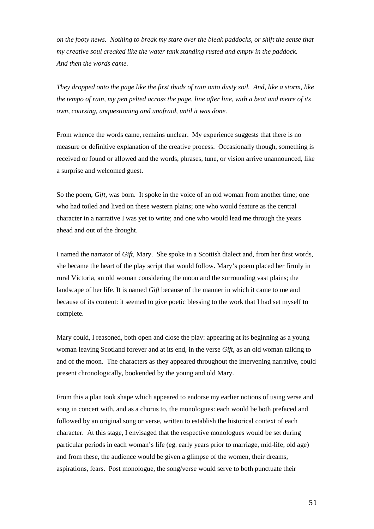*on the footy news. Nothing to break my stare over the bleak paddocks, or shift the sense that my creative soul creaked like the water tank standing rusted and empty in the paddock. And then the words came.*

*They dropped onto the page like the first thuds of rain onto dusty soil. And, like a storm, like the tempo of rain, my pen pelted across the page, line after line, with a beat and metre of its own, coursing, unquestioning and unafraid, until it was done.* 

From whence the words came, remains unclear. My experience suggests that there is no measure or definitive explanation of the creative process. Occasionally though, something is received or found or allowed and the words, phrases, tune, or vision arrive unannounced, like a surprise and welcomed guest.

So the poem, *Gift*, was born. It spoke in the voice of an old woman from another time; one who had toiled and lived on these western plains; one who would feature as the central character in a narrative I was yet to write; and one who would lead me through the years ahead and out of the drought.

I named the narrator of *Gift*, Mary. She spoke in a Scottish dialect and, from her first words, she became the heart of the play script that would follow. Mary's poem placed her firmly in rural Victoria, an old woman considering the moon and the surrounding vast plains; the landscape of her life. It is named *Gift* because of the manner in which it came to me and because of its content: it seemed to give poetic blessing to the work that I had set myself to complete.

Mary could, I reasoned, both open and close the play: appearing at its beginning as a young woman leaving Scotland forever and at its end, in the verse *Gift*, as an old woman talking to and of the moon. The characters as they appeared throughout the intervening narrative, could present chronologically, bookended by the young and old Mary.

From this a plan took shape which appeared to endorse my earlier notions of using verse and song in concert with, and as a chorus to, the monologues: each would be both prefaced and followed by an original song or verse, written to establish the historical context of each character. At this stage, I envisaged that the respective monologues would be set during particular periods in each woman's life (eg. early years prior to marriage, mid-life, old age) and from these, the audience would be given a glimpse of the women, their dreams, aspirations, fears. Post monologue, the song/verse would serve to both punctuate their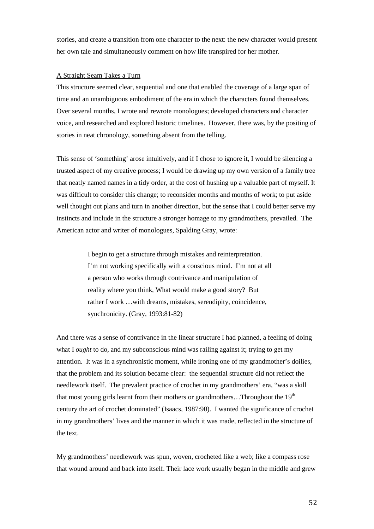stories, and create a transition from one character to the next: the new character would present her own tale and simultaneously comment on how life transpired for her mother.

## A Straight Seam Takes a Turn

This structure seemed clear, sequential and one that enabled the coverage of a large span of time and an unambiguous embodiment of the era in which the characters found themselves. Over several months, I wrote and rewrote monologues; developed characters and character voice, and researched and explored historic timelines. However, there was, by the positing of stories in neat chronology, something absent from the telling.

This sense of 'something' arose intuitively, and if I chose to ignore it, I would be silencing a trusted aspect of my creative process; I would be drawing up my own version of a family tree that neatly named names in a tidy order, at the cost of hushing up a valuable part of myself. It was difficult to consider this change; to reconsider months and months of work; to put aside well thought out plans and turn in another direction, but the sense that I could better serve my instincts and include in the structure a stronger homage to my grandmothers, prevailed. The American actor and writer of monologues, Spalding Gray, wrote:

> I begin to get a structure through mistakes and reinterpretation. I'm not working specifically with a conscious mind. I'm not at all a person who works through contrivance and manipulation of reality where you think, What would make a good story? But rather I work …with dreams, mistakes, serendipity, coincidence, synchronicity. (Gray, 1993:81-82)

And there was a sense of contrivance in the linear structure I had planned, a feeling of doing what I *ought* to do, and my subconscious mind was railing against it; trying to get my attention. It was in a synchronistic moment, while ironing one of my grandmother's doilies, that the problem and its solution became clear: the sequential structure did not reflect the needlework itself. The prevalent practice of crochet in my grandmothers' era, "was a skill that most young girls learnt from their mothers or grandmothers...Throughout the  $19<sup>th</sup>$ century the art of crochet dominated" (Isaacs, 1987:90). I wanted the significance of crochet in my grandmothers' lives and the manner in which it was made, reflected in the structure of the text.

My grandmothers' needlework was spun, woven, crocheted like a web; like a compass rose that wound around and back into itself. Their lace work usually began in the middle and grew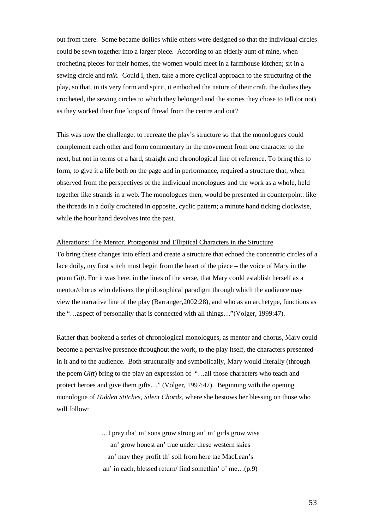out from there. Some became doilies while others were designed so that the individual circles could be sewn together into a larger piece. According to an elderly aunt of mine, when crocheting pieces for their homes, the women would meet in a farmhouse kitchen; sit in a sewing circle and *talk.* Could I, then, take a more cyclical approach to the structuring of the play, so that, in its very form and spirit, it embodied the nature of their craft, the doilies they crocheted, the sewing circles to which they belonged and the stories they chose to tell (or not) as they worked their fine loops of thread from the centre and out?

This was now the challenge: to recreate the play's structure so that the monologues could complement each other and form commentary in the movement from one character to the next, but not in terms of a hard, straight and chronological line of reference. To bring this to form, to give it a life both on the page and in performance, required a structure that, when observed from the perspectives of the individual monologues and the work as a whole, held together like strands in a web. The monologues then, would be presented in counterpoint: like the threads in a doily crocheted in opposite, cyclic pattern; a minute hand ticking clockwise, while the hour hand devolves into the past.

#### Alterations: The Mentor, Protagonist and Elliptical Characters in the Structure

To bring these changes into effect and create a structure that echoed the concentric circles of a lace doily, my first stitch must begin from the heart of the piece – the voice of Mary in the poem *Gift*. For it was here, in the lines of the verse, that Mary could establish herself as a mentor/chorus who delivers the philosophical paradigm through which the audience may view the narrative line of the play (Barranger,2002:28), and who as an archetype, functions as the "…aspect of personality that is connected with all things…"(Volger, 1999:47).

Rather than bookend a series of chronological monologues, as mentor and chorus, Mary could become a pervasive presence throughout the work, to the play itself, the characters presented in it and to the audience. Both structurally and symbolically, Mary would literally (through the poem *Gift*) bring to the play an expression of "…all those characters who teach and protect heroes and give them gifts…" (Volger, 1997:47). Beginning with the opening monologue of *Hidden Stitches, Silent Chords*, where she bestows her blessing on those who will follow:

> …I pray tha' m' sons grow strong an' m' girls grow wise an' grow honest an' true under these western skies an' may they profit th' soil from here tae MacLean's an' in each, blessed return/ find somethin' o' me…(p.9)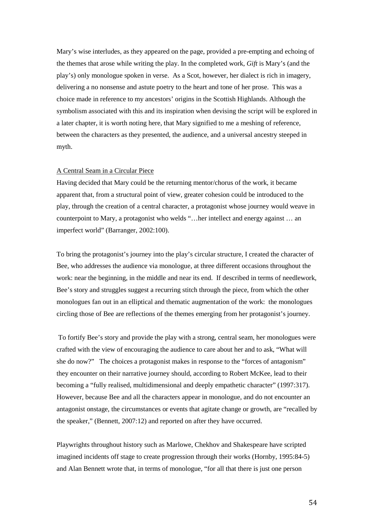Mary's wise interludes, as they appeared on the page, provided a pre-empting and echoing of the themes that arose while writing the play. In the completed work, *Gift* is Mary's (and the play's) only monologue spoken in verse. As a Scot, however, her dialect is rich in imagery, delivering a no nonsense and astute poetry to the heart and tone of her prose. This was a choice made in reference to my ancestors' origins in the Scottish Highlands. Although the symbolism associated with this and its inspiration when devising the script will be explored in a later chapter, it is worth noting here, that Mary signified to me a meshing of reference, between the characters as they presented, the audience, and a universal ancestry steeped in myth.

#### A Central Seam in a Circular Piece

Having decided that Mary could be the returning mentor/chorus of the work, it became apparent that, from a structural point of view, greater cohesion could be introduced to the play, through the creation of a central character, a protagonist whose journey would weave in counterpoint to Mary, a protagonist who welds "…her intellect and energy against … an imperfect world" (Barranger, 2002:100).

To bring the protagonist's journey into the play's circular structure, I created the character of Bee, who addresses the audience via monologue, at three different occasions throughout the work: near the beginning, in the middle and near its end. If described in terms of needlework, Bee's story and struggles suggest a recurring stitch through the piece, from which the other monologues fan out in an elliptical and thematic augmentation of the work: the monologues circling those of Bee are reflections of the themes emerging from her protagonist's journey.

To fortify Bee's story and provide the play with a strong, central seam, her monologues were crafted with the view of encouraging the audience to care about her and to ask, "What will she do now?" The choices a protagonist makes in response to the "forces of antagonism" they encounter on their narrative journey should, according to Robert McKee, lead to their becoming a "fully realised, multidimensional and deeply empathetic character" (1997:317). However, because Bee and all the characters appear in monologue, and do not encounter an antagonist onstage, the circumstances or events that agitate change or growth, are "recalled by the speaker," (Bennett, 2007:12) and reported on after they have occurred.

Playwrights throughout history such as Marlowe, Chekhov and Shakespeare have scripted imagined incidents off stage to create progression through their works (Hornby, 1995:84-5) and Alan Bennett wrote that, in terms of monologue, "for all that there is just one person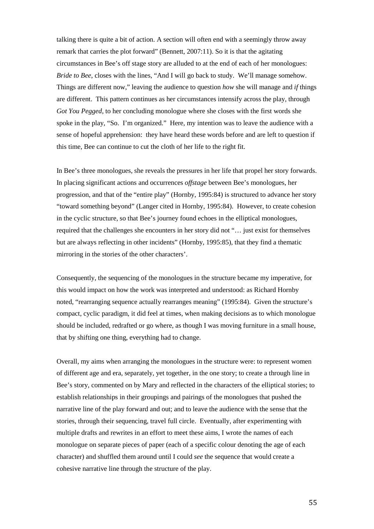talking there is quite a bit of action. A section will often end with a seemingly throw away remark that carries the plot forward" (Bennett, 2007:11). So it is that the agitating circumstances in Bee's off stage story are alluded to at the end of each of her monologues: *Bride to Bee*, closes with the lines, "And I will go back to study. We'll manage somehow. Things are different now," leaving the audience to question *how* she will manage and *if* things are different. This pattern continues as her circumstances intensify across the play, through *Got You Pegged*, to her concluding monologue where she closes with the first words she spoke in the play, "So. I'm organized." Here, my intention was to leave the audience with a sense of hopeful apprehension: they have heard these words before and are left to question if this time, Bee can continue to cut the cloth of her life to the right fit.

In Bee's three monologues, she reveals the pressures in her life that propel her story forwards. In placing significant actions and occurrences *offstage* between Bee's monologues, her progression, and that of the "entire play" (Hornby, 1995:84) is structured to advance her story "toward something beyond" (Langer cited in Hornby, 1995:84). However, to create cohesion in the cyclic structure, so that Bee's journey found echoes in the elliptical monologues, required that the challenges she encounters in her story did not "… just exist for themselves but are always reflecting in other incidents" (Hornby, 1995:85), that they find a thematic mirroring in the stories of the other characters'.

Consequently, the sequencing of the monologues in the structure became my imperative, for this would impact on how the work was interpreted and understood: as Richard Hornby noted, "rearranging sequence actually rearranges meaning" (1995:84). Given the structure's compact, cyclic paradigm, it did feel at times, when making decisions as to which monologue should be included, redrafted or go where, as though I was moving furniture in a small house, that by shifting one thing, everything had to change.

Overall, my aims when arranging the monologues in the structure were: to represent women of different age and era, separately, yet together, in the one story; to create a through line in Bee's story, commented on by Mary and reflected in the characters of the elliptical stories; to establish relationships in their groupings and pairings of the monologues that pushed the narrative line of the play forward and out; and to leave the audience with the sense that the stories, through their sequencing, travel full circle. Eventually, after experimenting with multiple drafts and rewrites in an effort to meet these aims, I wrote the names of each monologue on separate pieces of paper (each of a specific colour denoting the age of each character) and shuffled them around until I could *see* the sequence that would create a cohesive narrative line through the structure of the play.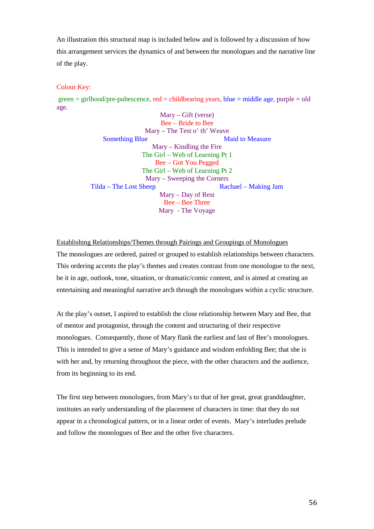An illustration this structural map is included below and is followed by a discussion of how this arrangement services the dynamics of and between the monologues and the narrative line of the play.

## Colour Key:

 $green = girlhood/pre-pubescence, red = child bearing years, blue = middle age, purple = old$ age.

> Mary – Gift (verse) Bee – Bride to Bee Mary – The Test o' th' Weave Something Blue Maid to Measure Mary – Kindling the Fire The Girl – Web of Learning Pt 1 Bee – Got You Pegged The Girl – Web of Learning Pt 2 Mary – Sweeping the Corners Tilda – The Lost Sheep Rachael – Making Jam Mary – Day of Rest Bee – Bee Three Mary - The Voyage

## Establishing Relationships/Themes through Pairings and Groupings of Monologues

The monologues are ordered, paired or grouped to establish relationships between characters. This ordering accents the play's themes and creates contrast from one monologue to the next, be it in age, outlook, tone, situation, or dramatic/comic content, and is aimed at creating an entertaining and meaningful narrative arch through the monologues within a cyclic structure.

At the play's outset, I aspired to establish the close relationship between Mary and Bee, that of mentor and protagonist, through the content and structuring of their respective monologues. Consequently, those of Mary flank the earliest and last of Bee's monologues. This is intended to give a sense of Mary's guidance and wisdom enfolding Bee; that she is with her and, by returning throughout the piece, with the other characters and the audience, from its beginning to its end.

The first step between monologues, from Mary's to that of her great, great granddaughter, institutes an early understanding of the placement of characters in time: that they do not appear in a chronological pattern, or in a linear order of events. Mary's interludes prelude and follow the monologues of Bee and the other five characters.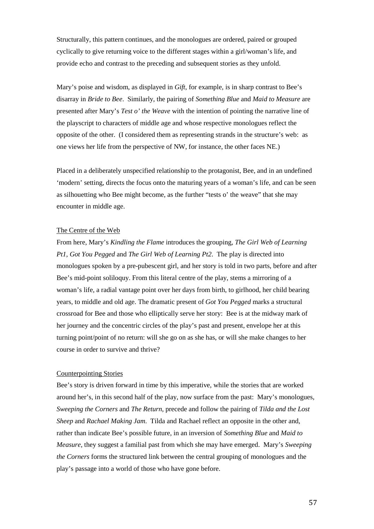Structurally, this pattern continues, and the monologues are ordered, paired or grouped cyclically to give returning voice to the different stages within a girl/woman's life, and provide echo and contrast to the preceding and subsequent stories as they unfold.

Mary's poise and wisdom, as displayed in *Gift*, for example, is in sharp contrast to Bee's disarray in *Bride to Bee*. Similarly, the pairing of *Something Blue* and *Maid to Measure* are presented after Mary's *Test o' the Weave* with the intention of pointing the narrative line of the playscript to characters of middle age and whose respective monologues reflect the opposite of the other. (I considered them as representing strands in the structure's web: as one views her life from the perspective of NW, for instance, the other faces NE.)

Placed in a deliberately unspecified relationship to the protagonist, Bee, and in an undefined 'modern' setting, directs the focus onto the maturing years of a woman's life, and can be seen as silhouetting who Bee might become, as the further "tests o' the weave" that she may encounter in middle age.

## The Centre of the Web

From here, Mary's *Kindling the Flame* introduces the grouping, *The Girl Web of Learning Pt1, Got You Pegged* and *The Girl Web of Learning Pt2*. The play is directed into monologues spoken by a pre-pubescent girl, and her story is told in two parts, before and after Bee's mid-point soliloquy. From this literal centre of the play, stems a mirroring of a woman's life, a radial vantage point over her days from birth, to girlhood, her child bearing years, to middle and old age. The dramatic present of *Got You Pegged* marks a structural crossroad for Bee and those who elliptically serve her story: Bee is at the midway mark of her journey and the concentric circles of the play's past and present, envelope her at this turning point/point of no return: will she go on as she has, or will she make changes to her course in order to survive and thrive?

#### Counterpointing Stories

Bee's story is driven forward in time by this imperative, while the stories that are worked around her's, in this second half of the play, now surface from the past: Mary's monologues, *Sweeping the Corners* and *The Return*, precede and follow the pairing of *Tilda and the Lost Sheep* and *Rachael Making Jam*. Tilda and Rachael reflect an opposite in the other and, rather than indicate Bee's possible future, in an inversion of *Something Blue* and *Maid to Measure*, they suggest a familial past from which she may have emerged. Mary's *Sweeping the Corners* forms the structured link between the central grouping of monologues and the play's passage into a world of those who have gone before.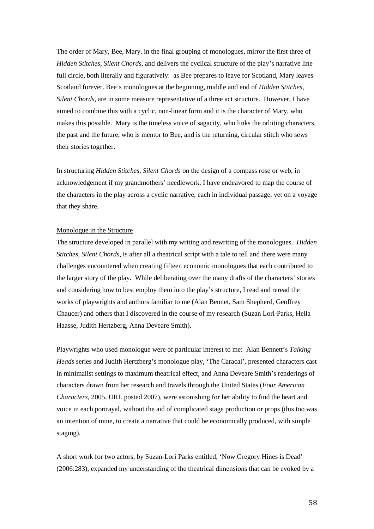The order of Mary, Bee, Mary, in the final grouping of monologues, mirror the first three of *Hidden Stitches, Silent Chords*, and delivers the cyclical structure of the play's narrative line full circle, both literally and figuratively: as Bee prepares to leave for Scotland, Mary leaves Scotland forever. Bee's monologues at the beginning, middle and end of *Hidden Stitches, Silent Chords*, are in some measure representative of a three act structure. However, I have aimed to combine this with a cyclic, non-linear form and it is the character of Mary, who makes this possible. Mary is the timeless voice of sagacity, who links the orbiting characters, the past and the future, who is mentor to Bee, and is the returning, circular stitch who sews their stories together.

In structuring *Hidden Stitches, Silent Chords* on the design of a compass rose or web, in acknowledgement if my grandmothers' needlework, I have endeavored to map the course of the characters in the play across a cyclic narrative, each in individual passage, yet on a voyage that they share.

## Monologue in the Structure

The structure developed in parallel with my writing and rewriting of the monologues. *Hidden Stitches, Silent Chords*, is after all a theatrical script with a tale to tell and there were many challenges encountered when creating fifteen economic monologues that each contributed to the larger story of the play. While deliberating over the many drafts of the characters' stories and considering how to best employ them into the play's structure, I read and reread the works of playwrights and authors familiar to me (Alan Bennet, Sam Shepherd, Geoffrey Chaucer) and others that I discovered in the course of my research (Suzan Lori-Parks, Hella Haasse, Judith Hertzberg, Anna Deveare Smith).

Playwrights who used monologue were of particular interest to me: Alan Bennett's *Talking Heads* series and Judith Hertzberg's monologue play, 'The Caracal', presented characters cast in minimalist settings to maximum theatrical effect, and Anna Deveare Smith's renderings of characters drawn from her research and travels through the United States (*Four American Characters,* 2005, URL posted 2007), were astonishing for her ability to find the heart and voice in each portrayal, without the aid of complicated stage production or props (this too was an intention of mine, to create a narrative that could be economically produced, with simple staging).

A short work for two actors, by Suzan-Lori Parks entitled, 'Now Gregory Hines is Dead' (2006:283), expanded my understanding of the theatrical dimensions that can be evoked by a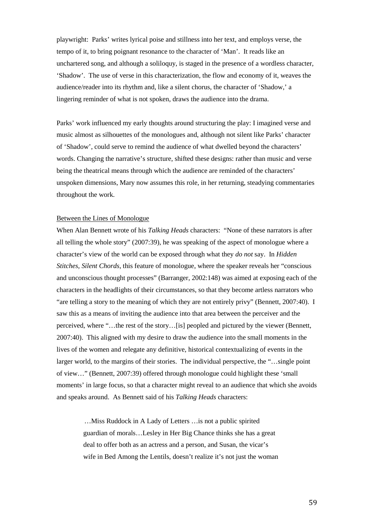playwright: Parks' writes lyrical poise and stillness into her text, and employs verse, the tempo of it, to bring poignant resonance to the character of 'Man'. It reads like an unchartered song, and although a soliloquy, is staged in the presence of a wordless character, 'Shadow'. The use of verse in this characterization, the flow and economy of it, weaves the audience/reader into its rhythm and, like a silent chorus, the character of 'Shadow,' a lingering reminder of what is not spoken, draws the audience into the drama.

Parks' work influenced my early thoughts around structuring the play: I imagined verse and music almost as silhouettes of the monologues and, although not silent like Parks' character of 'Shadow', could serve to remind the audience of what dwelled beyond the characters' words. Changing the narrative's structure, shifted these designs: rather than music and verse being the theatrical means through which the audience are reminded of the characters' unspoken dimensions, Mary now assumes this role, in her returning, steadying commentaries throughout the work.

#### Between the Lines of Monologue

When Alan Bennett wrote of his *Talking Heads* characters: "None of these narrators is after all telling the whole story" (2007:39), he was speaking of the aspect of monologue where a character's view of the world can be exposed through what they *do not* say. In *Hidden Stitches, Silent Chords*, this feature of monologue, where the speaker reveals her "conscious and unconscious thought processes" (Barranger, 2002:148) was aimed at exposing each of the characters in the headlights of their circumstances, so that they become artless narrators who "are telling a story to the meaning of which they are not entirely privy" (Bennett, 2007:40). I saw this as a means of inviting the audience into that area between the perceiver and the perceived, where "…the rest of the story…[is] peopled and pictured by the viewer (Bennett, 2007:40). This aligned with my desire to draw the audience into the small moments in the lives of the women and relegate any definitive, historical contextualizing of events in the larger world, to the margins of their stories. The individual perspective, the "…single point of view…" (Bennett, 2007:39) offered through monologue could highlight these 'small moments' in large focus, so that a character might reveal to an audience that which she avoids and speaks around. As Bennett said of his *Talking Heads* characters:

> …Miss Ruddock in A Lady of Letters …is not a public spirited guardian of morals…Lesley in Her Big Chance thinks she has a great deal to offer both as an actress and a person, and Susan, the vicar's wife in Bed Among the Lentils, doesn't realize it's not just the woman

> > 59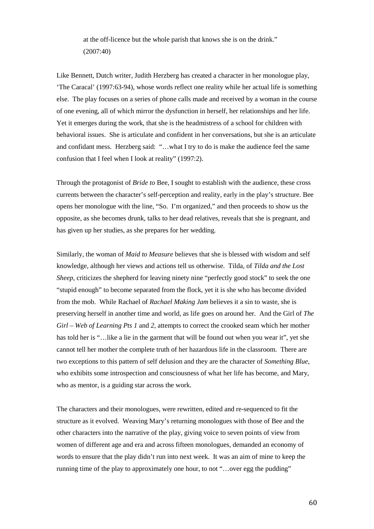at the off-licence but the whole parish that knows she is on the drink." (2007:40)

Like Bennett, Dutch writer, Judith Herzberg has created a character in her monologue play, 'The Caracal' (1997:63-94), whose words reflect one reality while her actual life is something else. The play focuses on a series of phone calls made and received by a woman in the course of one evening, all of which mirror the dysfunction in herself, her relationships and her life. Yet it emerges during the work, that she is the headmistress of a school for children with behavioral issues. She is articulate and confident in her conversations, but she is an articulate and confidant mess. Herzberg said: "…what I try to do is make the audience feel the same confusion that I feel when I look at reality" (1997:2).

Through the protagonist of *Bride to* Bee, I sought to establish with the audience, these cross currents between the character's self-perception and reality, early in the play's structure. Bee opens her monologue with the line, "So. I'm organized," and then proceeds to show us the opposite, as she becomes drunk, talks to her dead relatives, reveals that she is pregnant, and has given up her studies, as she prepares for her wedding.

Similarly, the woman of *Maid to Measure* believes that she is blessed with wisdom and self knowledge, although her views and actions tell us otherwise. Tilda, of *Tilda and the Lost Sheep*, criticizes the shepherd for leaving ninety nine "perfectly good stock" to seek the one "stupid enough" to become separated from the flock, yet it is she who has become divided from the mob. While Rachael of *Rachael Making Jam* believes it a sin to waste, she is preserving herself in another time and world, as life goes on around her. And the Girl of *The Girl – Web of Learning Pts 1* and *2*, attempts to correct the crooked seam which her mother has told her is "... like a lie in the garment that will be found out when you wear it", yet she cannot tell her mother the complete truth of her hazardous life in the classroom. There are two exceptions to this pattern of self delusion and they are the character of *Something Blue*, who exhibits some introspection and consciousness of what her life has become, and Mary, who as mentor, is a guiding star across the work.

The characters and their monologues, were rewritten, edited and re-sequenced to fit the structure as it evolved. Weaving Mary's returning monologues with those of Bee and the other characters into the narrative of the play, giving voice to seven points of view from women of different age and era and across fifteen monologues, demanded an economy of words to ensure that the play didn't run into next week. It was an aim of mine to keep the running time of the play to approximately one hour, to not "…over egg the pudding"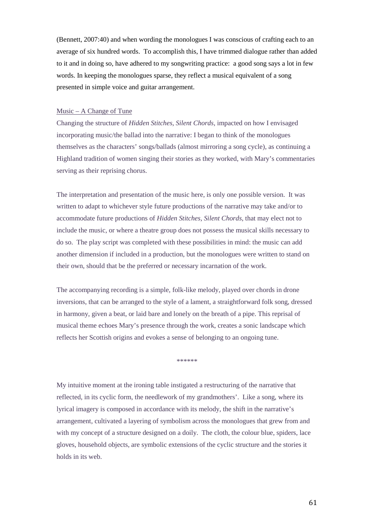(Bennett, 2007:40) and when wording the monologues I was conscious of crafting each to an average of six hundred words. To accomplish this, I have trimmed dialogue rather than added to it and in doing so, have adhered to my songwriting practice: a good song says a lot in few words. In keeping the monologues sparse, they reflect a musical equivalent of a song presented in simple voice and guitar arrangement.

#### Music – A Change of Tune

Changing the structure of *Hidden Stitches, Silent Chords*, impacted on how I envisaged incorporating music/the ballad into the narrative: I began to think of the monologues themselves as the characters' songs/ballads (almost mirroring a song cycle), as continuing a Highland tradition of women singing their stories as they worked, with Mary's commentaries serving as their reprising chorus.

The interpretation and presentation of the music here, is only one possible version. It was written to adapt to whichever style future productions of the narrative may take and/or to accommodate future productions of *Hidden Stitches, Silent Chords*, that may elect not to include the music, or where a theatre group does not possess the musical skills necessary to do so. The play script was completed with these possibilities in mind: the music can add another dimension if included in a production, but the monologues were written to stand on their own, should that be the preferred or necessary incarnation of the work.

The accompanying recording is a simple, folk-like melody, played over chords in drone inversions, that can be arranged to the style of a lament, a straightforward folk song, dressed in harmony, given a beat, or laid bare and lonely on the breath of a pipe. This reprisal of musical theme echoes Mary's presence through the work, creates a sonic landscape which reflects her Scottish origins and evokes a sense of belonging to an ongoing tune.

\*\*\*\*\*\*

My intuitive moment at the ironing table instigated a restructuring of the narrative that reflected, in its cyclic form, the needlework of my grandmothers'. Like a song, where its lyrical imagery is composed in accordance with its melody, the shift in the narrative's arrangement, cultivated a layering of symbolism across the monologues that grew from and with my concept of a structure designed on a doily. The cloth, the colour blue, spiders, lace gloves, household objects, are symbolic extensions of the cyclic structure and the stories it holds in its web.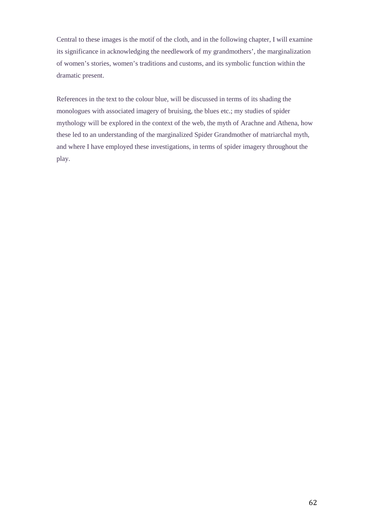Central to these images is the motif of the cloth, and in the following chapter, I will examine its significance in acknowledging the needlework of my grandmothers', the marginalization of women's stories, women's traditions and customs, and its symbolic function within the dramatic present.

References in the text to the colour blue, will be discussed in terms of its shading the monologues with associated imagery of bruising, the blues etc.; my studies of spider mythology will be explored in the context of the web, the myth of Arachne and Athena, how these led to an understanding of the marginalized Spider Grandmother of matriarchal myth, and where I have employed these investigations, in terms of spider imagery throughout the play.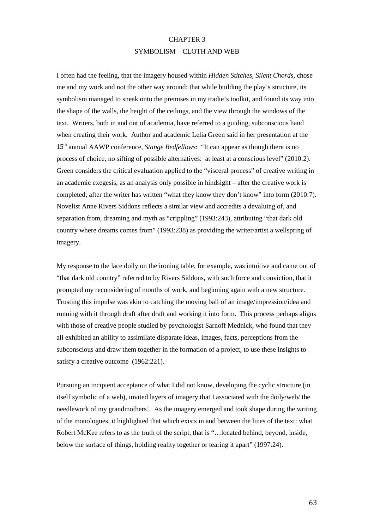## CHAPTER 3 SYMBOLISM – CLOTH AND WEB

I often had the feeling, that the imagery housed within *Hidden Stitches, Silent Chords*, chose me and my work and not the other way around; that while building the play's structure, its symbolism managed to sneak onto the premises in my tradie's toolkit, and found its way into the shape of the walls, the height of the ceilings, and the view through the windows of the text. Writers, both in and out of academia, have referred to a guiding, subconscious hand when creating their work. Author and academic Lelia Green said in her presentation at the 15th annual AAWP conference, *Stange Bedfellows*: "It can appear as though there is no process of choice, no sifting of possible alternatives: at least at a conscious level" (2010:2). Green considers the critical evaluation applied to the "visceral process" of creative writing in an academic exegesis, as an analysis only possible in hindsight – after the creative work is completed; after the writer has written "what they know they don't know" into form (2010:7). Novelist Anne Rivers Siddons reflects a similar view and accredits a devaluing of, and separation from, dreaming and myth as "crippling" (1993:243), attributing "that dark old country where dreams comes from" (1993:238) as providing the writer/artist a wellspring of imagery.

My response to the lace doily on the ironing table, for example, was intuitive and came out of "that dark old country" referred to by Rivers Siddons, with such force and conviction, that it prompted my reconsidering of months of work, and beginning again with a new structure. Trusting this impulse was akin to catching the moving ball of an image/impression/idea and running with it through draft after draft and working it into form. This process perhaps aligns with those of creative people studied by psychologist Sarnoff Mednick, who found that they all exhibited an ability to assimilate disparate ideas, images, facts, perceptions from the subconscious and draw them together in the formation of a project, to use these insights to satisfy a creative outcome (1962:221).

Pursuing an incipient acceptance of what I did not know, developing the cyclic structure (in itself symbolic of a web), invited layers of imagery that I associated with the doily/web/ the needlework of my grandmothers'. As the imagery emerged and took shape during the writing of the monologues, it highlighted that which exists in and between the lines of the text: what Robert McKee refers to as the truth of the script, that is "…located behind, beyond, inside, below the surface of things, holding reality together or tearing it apart" (1997:24).

63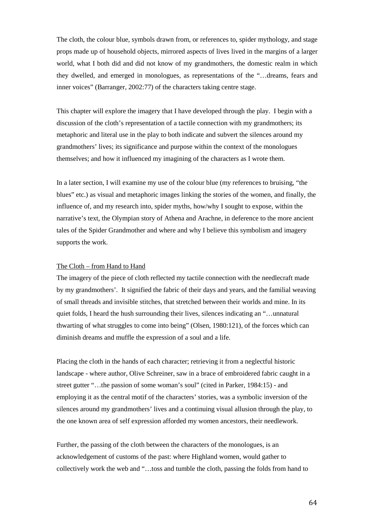The cloth, the colour blue, symbols drawn from, or references to, spider mythology, and stage props made up of household objects, mirrored aspects of lives lived in the margins of a larger world, what I both did and did not know of my grandmothers, the domestic realm in which they dwelled, and emerged in monologues, as representations of the "…dreams, fears and inner voices" (Barranger, 2002:77) of the characters taking centre stage.

This chapter will explore the imagery that I have developed through the play. I begin with a discussion of the cloth's representation of a tactile connection with my grandmothers; its metaphoric and literal use in the play to both indicate and subvert the silences around my grandmothers' lives; its significance and purpose within the context of the monologues themselves; and how it influenced my imagining of the characters as I wrote them.

In a later section, I will examine my use of the colour blue (my references to bruising, "the blues" etc.) as visual and metaphoric images linking the stories of the women, and finally, the influence of, and my research into, spider myths, how/why I sought to expose, within the narrative's text, the Olympian story of Athena and Arachne, in deference to the more ancient tales of the Spider Grandmother and where and why I believe this symbolism and imagery supports the work.

## The Cloth – from Hand to Hand

The imagery of the piece of cloth reflected my tactile connection with the needlecraft made by my grandmothers'. It signified the fabric of their days and years, and the familial weaving of small threads and invisible stitches, that stretched between their worlds and mine. In its quiet folds, I heard the hush surrounding their lives, silences indicating an "…unnatural thwarting of what struggles to come into being" (Olsen, 1980:121), of the forces which can diminish dreams and muffle the expression of a soul and a life.

Placing the cloth in the hands of each character; retrieving it from a neglectful historic landscape - where author, Olive Schreiner, saw in a brace of embroidered fabric caught in a street gutter "…the passion of some woman's soul" (cited in Parker, 1984:15) - and employing it as the central motif of the characters' stories, was a symbolic inversion of the silences around my grandmothers' lives and a continuing visual allusion through the play, to the one known area of self expression afforded my women ancestors, their needlework.

Further, the passing of the cloth between the characters of the monologues, is an acknowledgement of customs of the past: where Highland women, would gather to collectively work the web and "…toss and tumble the cloth, passing the folds from hand to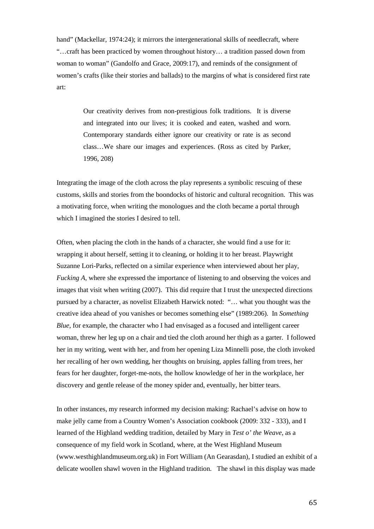hand" (Mackellar, 1974:24); it mirrors the intergenerational skills of needlecraft, where "…craft has been practiced by women throughout history… a tradition passed down from woman to woman" (Gandolfo and Grace, 2009:17), and reminds of the consignment of women's crafts (like their stories and ballads) to the margins of what is considered first rate art:

> Our creativity derives from non-prestigious folk traditions. It is diverse and integrated into our lives; it is cooked and eaten, washed and worn. Contemporary standards either ignore our creativity or rate is as second class…We share our images and experiences. (Ross as cited by Parker, 1996, 208)

Integrating the image of the cloth across the play represents a symbolic rescuing of these customs, skills and stories from the boondocks of historic and cultural recognition. This was a motivating force, when writing the monologues and the cloth became a portal through which I imagined the stories I desired to tell.

Often, when placing the cloth in the hands of a character, she would find a use for it: wrapping it about herself, setting it to cleaning, or holding it to her breast. Playwright Suzanne Lori-Parks, reflected on a similar experience when interviewed about her play, *Fucking A*, where she expressed the importance of listening to and observing the voices and images that visit when writing (2007). This did require that I trust the unexpected directions pursued by a character, as novelist Elizabeth Harwick noted: "… what you thought was the creative idea ahead of you vanishes or becomes something else" (1989:206). In *Something Blue*, for example, the character who I had envisaged as a focused and intelligent career woman, threw her leg up on a chair and tied the cloth around her thigh as a garter. I followed her in my writing, went with her, and from her opening Liza Minnelli pose, the cloth invoked her recalling of her own wedding, her thoughts on bruising, apples falling from trees, her fears for her daughter, forget-me-nots, the hollow knowledge of her in the workplace, her discovery and gentle release of the money spider and, eventually, her bitter tears.

In other instances, my research informed my decision making: Rachael's advise on how to make jelly came from a Country Women's Association cookbook (2009: 332 - 333), and I learned of the Highland wedding tradition, detailed by Mary in *Test o' the Weave*, as a consequence of my field work in Scotland, where, at the West Highland Museum (www.westhighlandmuseum.org.uk) in Fort William (An Gearasdan), I studied an exhibit of a delicate woollen shawl woven in the Highland tradition. The shawl in this display was made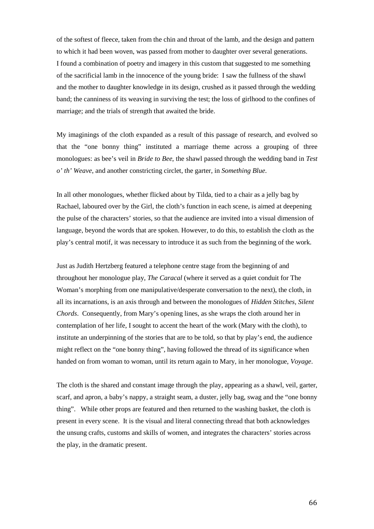of the softest of fleece, taken from the chin and throat of the lamb, and the design and pattern to which it had been woven, was passed from mother to daughter over several generations. I found a combination of poetry and imagery in this custom that suggested to me something of the sacrificial lamb in the innocence of the young bride: I saw the fullness of the shawl and the mother to daughter knowledge in its design, crushed as it passed through the wedding band; the canniness of its weaving in surviving the test; the loss of girlhood to the confines of marriage; and the trials of strength that awaited the bride.

My imaginings of the cloth expanded as a result of this passage of research, and evolved so that the "one bonny thing" instituted a marriage theme across a grouping of three monologues: as bee's veil in *Bride to Bee*, the shawl passed through the wedding band in *Test o' th' Weave*, and another constricting circlet, the garter, in *Something Blue*.

In all other monologues, whether flicked about by Tilda, tied to a chair as a jelly bag by Rachael, laboured over by the Girl, the cloth's function in each scene, is aimed at deepening the pulse of the characters' stories, so that the audience are invited into a visual dimension of language, beyond the words that are spoken. However, to do this, to establish the cloth as the play's central motif, it was necessary to introduce it as such from the beginning of the work.

Just as Judith Hertzberg featured a telephone centre stage from the beginning of and throughout her monologue play, *The Caracal* (where it served as a quiet conduit for The Woman's morphing from one manipulative/desperate conversation to the next), the cloth, in all its incarnations, is an axis through and between the monologues of *Hidden Stitches, Silent Chords*. Consequently, from Mary's opening lines, as she wraps the cloth around her in contemplation of her life, I sought to accent the heart of the work (Mary with the cloth), to institute an underpinning of the stories that are to be told, so that by play's end, the audience might reflect on the "one bonny thing", having followed the thread of its significance when handed on from woman to woman, until its return again to Mary, in her monologue, *Voyage*.

The cloth is the shared and constant image through the play, appearing as a shawl, veil, garter, scarf, and apron, a baby's nappy, a straight seam, a duster, jelly bag, swag and the "one bonny thing". While other props are featured and then returned to the washing basket, the cloth is present in every scene. It is the visual and literal connecting thread that both acknowledges the unsung crafts, customs and skills of women, and integrates the characters' stories across the play, in the dramatic present.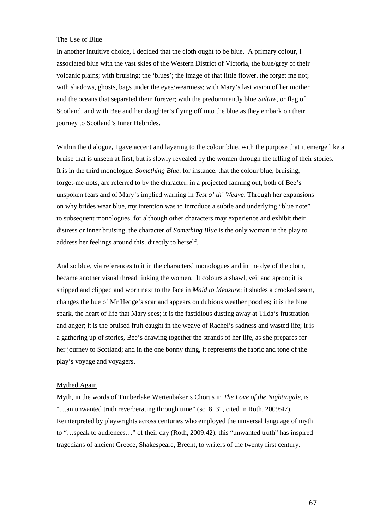## The Use of Blue

In another intuitive choice, I decided that the cloth ought to be blue. A primary colour, I associated blue with the vast skies of the Western District of Victoria, the blue/grey of their volcanic plains; with bruising; the 'blues'; the image of that little flower, the forget me not; with shadows, ghosts, bags under the eyes/weariness; with Mary's last vision of her mother and the oceans that separated them forever; with the predominantly blue *Saltire*, or flag of Scotland, and with Bee and her daughter's flying off into the blue as they embark on their journey to Scotland's Inner Hebrides.

Within the dialogue, I gave accent and layering to the colour blue, with the purpose that it emerge like a bruise that is unseen at first, but is slowly revealed by the women through the telling of their stories. It is in the third monologue, *Something Blue*, for instance, that the colour blue, bruising, forget-me-nots, are referred to by the character, in a projected fanning out, both of Bee's unspoken fears and of Mary's implied warning in *Test o' th' Weave*. Through her expansions on why brides wear blue, my intention was to introduce a subtle and underlying "blue note" to subsequent monologues, for although other characters may experience and exhibit their distress or inner bruising, the character of *Something Blue* is the only woman in the play to address her feelings around this, directly to herself.

And so blue, via references to it in the characters' monologues and in the dye of the cloth, became another visual thread linking the women. It colours a shawl, veil and apron; it is snipped and clipped and worn next to the face in *Maid to Measure*; it shades a crooked seam, changes the hue of Mr Hedge's scar and appears on dubious weather poodles; it is the blue spark, the heart of life that Mary sees; it is the fastidious dusting away at Tilda's frustration and anger; it is the bruised fruit caught in the weave of Rachel's sadness and wasted life; it is a gathering up of stories, Bee's drawing together the strands of her life, as she prepares for her journey to Scotland; and in the one bonny thing, it represents the fabric and tone of the play's voyage and voyagers.

#### Mythed Again

Myth, in the words of Timberlake Wertenbaker's Chorus in *The Love of the Nightingale*, is "…an unwanted truth reverberating through time" (sc. 8, 31, cited in Roth, 2009:47). Reinterpreted by playwrights across centuries who employed the universal language of myth to "…speak to audiences…" of their day (Roth, 2009:42), this "unwanted truth" has inspired tragedians of ancient Greece, Shakespeare, Brecht, to writers of the twenty first century.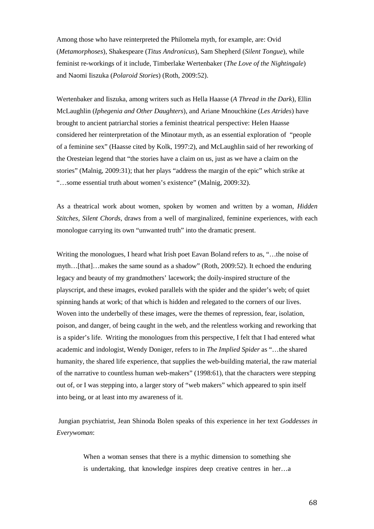Among those who have reinterpreted the Philomela myth, for example, are: Ovid (*Metamorphoses*), Shakespeare (*Titus Andronicus*), Sam Shepherd (*Silent Tongue*), while feminist re-workings of it include, Timberlake Wertenbaker (*The Love of the Nightingale*) and Naomi Iiszuka (*Polaroid Stories*) (Roth, 2009:52).

Wertenbaker and Iiszuka, among writers such as Hella Haasse (*A Thread in the Dark*), Ellin McLaughlin (*Iphegenia and Other Daughters*), and Ariane Mnouchkine (*Les Atrides*) have brought to ancient patriarchal stories a feminist theatrical perspective: Helen Haasse considered her reinterpretation of the Minotaur myth, as an essential exploration of "people of a feminine sex" (Haasse cited by Kolk, 1997:2), and McLaughlin said of her reworking of the Oresteian legend that "the stories have a claim on us, just as we have a claim on the stories" (Malnig, 2009:31); that her plays "address the margin of the epic" which strike at "…some essential truth about women's existence" (Malnig, 2009:32).

As a theatrical work about women, spoken by women and written by a woman, *Hidden Stitches, Silent Chords*, draws from a well of marginalized, feminine experiences, with each monologue carrying its own "unwanted truth" into the dramatic present.

Writing the monologues, I heard what Irish poet Eavan Boland refers to as, "…the noise of myth…[that]…makes the same sound as a shadow" (Roth, 2009:52). It echoed the enduring legacy and beauty of my grandmothers' lacework; the doily-inspired structure of the playscript, and these images, evoked parallels with the spider and the spider's web; of quiet spinning hands at work; of that which is hidden and relegated to the corners of our lives. Woven into the underbelly of these images, were the themes of repression, fear, isolation, poison, and danger, of being caught in the web, and the relentless working and reworking that is a spider's life. Writing the monologues from this perspective, I felt that I had entered what academic and indologist, Wendy Doniger, refers to in *The Implied Spider* as "…the shared humanity, the shared life experience, that supplies the web-building material, the raw material of the narrative to countless human web-makers" (1998:61), that the characters were stepping out of, or I was stepping into, a larger story of "web makers" which appeared to spin itself into being, or at least into my awareness of it.

Jungian psychiatrist, Jean Shinoda Bolen speaks of this experience in her text *Goddesses in Everywoman*:

> When a woman senses that there is a mythic dimension to something she is undertaking, that knowledge inspires deep creative centres in her…a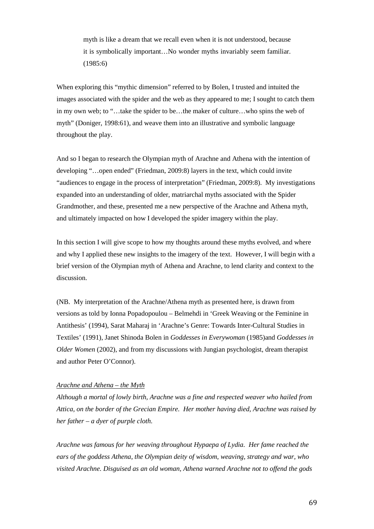myth is like a dream that we recall even when it is not understood, because it is symbolically important…No wonder myths invariably seem familiar. (1985:6)

When exploring this "mythic dimension" referred to by Bolen, I trusted and intuited the images associated with the spider and the web as they appeared to me; I sought to catch them in my own web; to "…take the spider to be…the maker of culture…who spins the web of myth" (Doniger, 1998:61), and weave them into an illustrative and symbolic language throughout the play.

And so I began to research the Olympian myth of Arachne and Athena with the intention of developing "…open ended" (Friedman, 2009:8) layers in the text, which could invite "audiences to engage in the process of interpretation" (Friedman, 2009:8). My investigations expanded into an understanding of older, matriarchal myths associated with the Spider Grandmother, and these, presented me a new perspective of the Arachne and Athena myth, and ultimately impacted on how I developed the spider imagery within the play.

In this section I will give scope to how my thoughts around these myths evolved, and where and why I applied these new insights to the imagery of the text. However, I will begin with a brief version of the Olympian myth of Athena and Arachne, to lend clarity and context to the discussion.

(NB. My interpretation of the Arachne/Athena myth as presented here, is drawn from versions as told by Ionna Popadopoulou – Belmehdi in 'Greek Weaving or the Feminine in Antithesis' (1994), Sarat Maharaj in 'Arachne's Genre: Towards Inter-Cultural Studies in Textiles' (1991), Janet Shinoda Bolen in *Goddesses in Everywoman* (1985)and *Goddesses in Older Women* (2002), and from my discussions with Jungian psychologist, dream therapist and author Peter O'Connor).

## *Arachne and Athena – the Myth*

*Although a mortal of lowly birth, Arachne was a fine and respected weaver who hailed from Attica, on the border of the Grecian Empire. Her mother having died, Arachne was raised by her father – a dyer of purple cloth.*

*Arachne was famous for her weaving throughout Hypaepa of Lydia. Her fame reached the ears of the goddess Athena, the Olympian deity of wisdom, weaving, strategy and war, who visited Arachne. Disguised as an old woman, Athena warned Arachne not to offend the gods*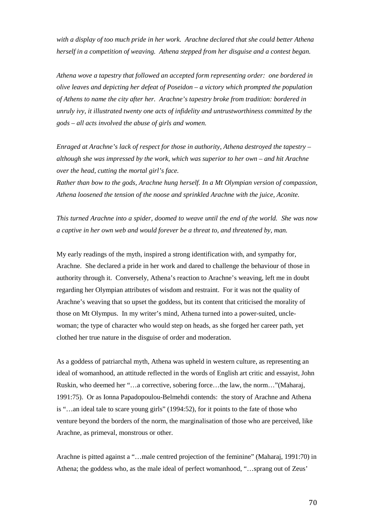*with a display of too much pride in her work. Arachne declared that she could better Athena herself in a competition of weaving. Athena stepped from her disguise and a contest began.*

*Athena wove a tapestry that followed an accepted form representing order: one bordered in olive leaves and depicting her defeat of Poseidon – a victory which prompted the population of Athens to name the city after her. Arachne's tapestry broke from tradition: bordered in unruly ivy, it illustrated twenty one acts of infidelity and untrustworthiness committed by the gods – all acts involved the abuse of girls and women.*

*Enraged at Arachne's lack of respect for those in authority, Athena destroyed the tapestry – although she was impressed by the work, which was superior to her own – and hit Arachne over the head, cutting the mortal girl's face.*

*Rather than bow to the gods, Arachne hung herself. In a Mt Olympian version of compassion, Athena loosened the tension of the noose and sprinkled Arachne with the juice, Aconite.* 

*This turned Arachne into a spider, doomed to weave until the end of the world. She was now a captive in her own web and would forever be a threat to, and threatened by, man.*

My early readings of the myth, inspired a strong identification with, and sympathy for, Arachne. She declared a pride in her work and dared to challenge the behaviour of those in authority through it. Conversely, Athena's reaction to Arachne's weaving, left me in doubt regarding her Olympian attributes of wisdom and restraint. For it was not the quality of Arachne's weaving that so upset the goddess, but its content that criticised the morality of those on Mt Olympus. In my writer's mind, Athena turned into a power-suited, unclewoman; the type of character who would step on heads, as she forged her career path, yet clothed her true nature in the disguise of order and moderation.

As a goddess of patriarchal myth, Athena was upheld in western culture, as representing an ideal of womanhood, an attitude reflected in the words of English art critic and essayist, John Ruskin, who deemed her "…a corrective, sobering force…the law, the norm…"(Maharaj, 1991:75). Or as Ionna Papadopoulou-Belmehdi contends: the story of Arachne and Athena is "…an ideal tale to scare young girls" (1994:52), for it points to the fate of those who venture beyond the borders of the norm, the marginalisation of those who are perceived, like Arachne, as primeval, monstrous or other.

Arachne is pitted against a "…male centred projection of the feminine" (Maharaj, 1991:70) in Athena; the goddess who, as the male ideal of perfect womanhood, "…sprang out of Zeus'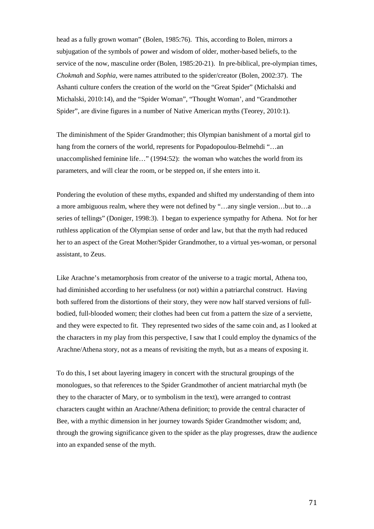head as a fully grown woman" (Bolen, 1985:76). This, according to Bolen, mirrors a subjugation of the symbols of power and wisdom of older, mother-based beliefs, to the service of the now, masculine order (Bolen, 1985:20-21). In pre-biblical, pre-olympian times, *Chokmah* and *Sophia*, were names attributed to the spider/creator (Bolen, 2002:37). The Ashanti culture confers the creation of the world on the "Great Spider" (Michalski and Michalski, 2010:14), and the "Spider Woman", "Thought Woman', and "Grandmother Spider", are divine figures in a number of Native American myths (Teorey, 2010:1).

The diminishment of the Spider Grandmother; this Olympian banishment of a mortal girl to hang from the corners of the world, represents for Popadopoulou-Belmehdi "…an unaccomplished feminine life…" (1994:52): the woman who watches the world from its parameters, and will clear the room, or be stepped on, if she enters into it.

Pondering the evolution of these myths, expanded and shifted my understanding of them into a more ambiguous realm, where they were not defined by "…any single version…but to…a series of tellings" (Doniger, 1998:3). I began to experience sympathy for Athena. Not for her ruthless application of the Olympian sense of order and law, but that the myth had reduced her to an aspect of the Great Mother/Spider Grandmother, to a virtual yes-woman, or personal assistant, to Zeus.

Like Arachne's metamorphosis from creator of the universe to a tragic mortal, Athena too, had diminished according to her usefulness (or not) within a patriarchal construct. Having both suffered from the distortions of their story, they were now half starved versions of fullbodied, full-blooded women; their clothes had been cut from a pattern the size of a serviette, and they were expected to fit. They represented two sides of the same coin and, as I looked at the characters in my play from this perspective, I saw that I could employ the dynamics of the Arachne/Athena story, not as a means of revisiting the myth, but as a means of exposing it.

To do this, I set about layering imagery in concert with the structural groupings of the monologues, so that references to the Spider Grandmother of ancient matriarchal myth (be they to the character of Mary, or to symbolism in the text), were arranged to contrast characters caught within an Arachne/Athena definition; to provide the central character of Bee, with a mythic dimension in her journey towards Spider Grandmother wisdom; and, through the growing significance given to the spider as the play progresses, draw the audience into an expanded sense of the myth.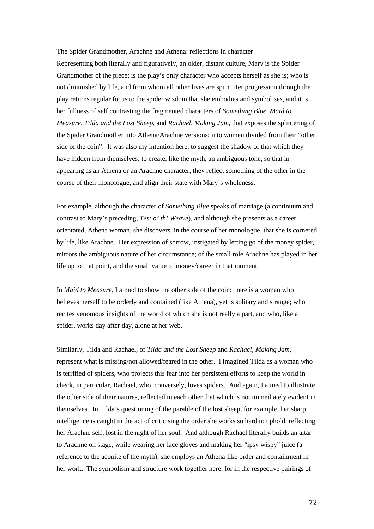## The Spider Grandmother, Arachne and Athena: reflections in character

Representing both literally and figuratively, an older, distant culture, Mary is the Spider Grandmother of the piece; is the play's only character who accepts herself as she is; who is not diminished by life, and from whom all other lives are spun. Her progression through the play returns regular focus to the spider wisdom that she embodies and symbolises, and it is her fullness of self contrasting the fragmented characters of *Something Blue*, *Maid to Measure*, *Tilda and the Lost Sheep*, and *Rachael, Making Jam*, that exposes the splintering of the Spider Grandmother into Athena/Arachne versions; into women divided from their "other side of the coin". It was also my intention here, to suggest the shadow of that which they have hidden from themselves; to create, like the myth, an ambiguous tone, so that in appearing as an Athena or an Arachne character, they reflect something of the other in the course of their monologue, and align their state with Mary's wholeness.

For example, although the character of *Something Blue* speaks of marriage (a continuum and contrast to Mary's preceding, *Test o' th' Weave*), and although she presents as a career orientated, Athena woman, she discovers, in the course of her monologue, that she is cornered by life, like Arachne. Her expression of sorrow, instigated by letting go of the money spider, mirrors the ambiguous nature of her circumstance; of the small role Arachne has played in her life up to that point, and the small value of money/career in that moment.

In *Maid to Measure*, I aimed to show the other side of the coin: here is a woman who believes herself to be orderly and contained (like Athena), yet is solitary and strange; who recites venomous insights of the world of which she is not really a part, and who, like a spider, works day after day, alone at her web.

Similarly, Tilda and Rachael, of *Tilda and the Lost Sheep* and *Rachael, Making Jam*, represent what is missing/not allowed/feared in the other. I imagined Tilda as a woman who is terrified of spiders, who projects this fear into her persistent efforts to keep the world in check, in particular, Rachael, who, conversely, loves spiders. And again, I aimed to illustrate the other side of their natures, reflected in each other that which is not immediately evident in themselves. In Tilda's questioning of the parable of the lost sheep, for example, her sharp intelligence is caught in the act of criticising the order she works so hard to uphold, reflecting her Arachne self, lost in the night of her soul. And although Rachael literally builds an altar to Arachne on stage, while wearing her lace gloves and making her "ipsy wispy" juice (a reference to the aconite of the myth), she employs an Athena-like order and containment in her work. The symbolism and structure work together here, for in the respective pairings of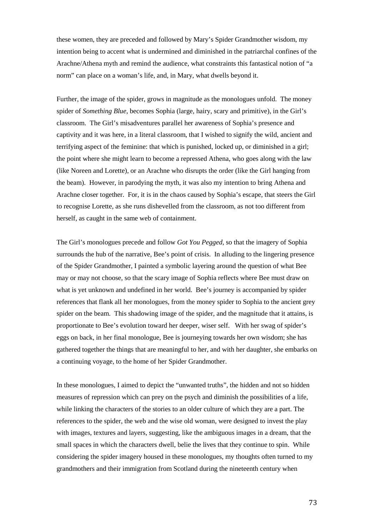these women, they are preceded and followed by Mary's Spider Grandmother wisdom, my intention being to accent what is undermined and diminished in the patriarchal confines of the Arachne/Athena myth and remind the audience, what constraints this fantastical notion of "a norm" can place on a woman's life, and, in Mary, what dwells beyond it.

Further, the image of the spider, grows in magnitude as the monologues unfold. The money spider of *Something Blue,* becomes Sophia (large, hairy, scary and primitive), in the Girl's classroom. The Girl's misadventures parallel her awareness of Sophia's presence and captivity and it was here, in a literal classroom, that I wished to signify the wild, ancient and terrifying aspect of the feminine: that which is punished, locked up, or diminished in a girl; the point where she might learn to become a repressed Athena, who goes along with the law (like Noreen and Lorette), or an Arachne who disrupts the order (like the Girl hanging from the beam). However, in parodying the myth, it was also my intention to bring Athena and Arachne closer together. For, it is in the chaos caused by Sophia's escape, that steers the Girl to recognise Lorette, as she runs dishevelled from the classroom, as not too different from herself, as caught in the same web of containment.

The Girl's monologues precede and follow *Got You Pegged*, so that the imagery of Sophia surrounds the hub of the narrative, Bee's point of crisis. In alluding to the lingering presence of the Spider Grandmother, I painted a symbolic layering around the question of what Bee may or may not choose, so that the scary image of Sophia reflects where Bee must draw on what is yet unknown and undefined in her world. Bee's journey is accompanied by spider references that flank all her monologues, from the money spider to Sophia to the ancient grey spider on the beam. This shadowing image of the spider, and the magnitude that it attains, is proportionate to Bee's evolution toward her deeper, wiser self. With her swag of spider's eggs on back, in her final monologue, Bee is journeying towards her own wisdom; she has gathered together the things that are meaningful to her, and with her daughter, she embarks on a continuing voyage, to the home of her Spider Grandmother.

In these monologues, I aimed to depict the "unwanted truths", the hidden and not so hidden measures of repression which can prey on the psych and diminish the possibilities of a life, while linking the characters of the stories to an older culture of which they are a part. The references to the spider, the web and the wise old woman, were designed to invest the play with images, textures and layers, suggesting, like the ambiguous images in a dream, that the small spaces in which the characters dwell, belie the lives that they continue to spin. While considering the spider imagery housed in these monologues, my thoughts often turned to my grandmothers and their immigration from Scotland during the nineteenth century when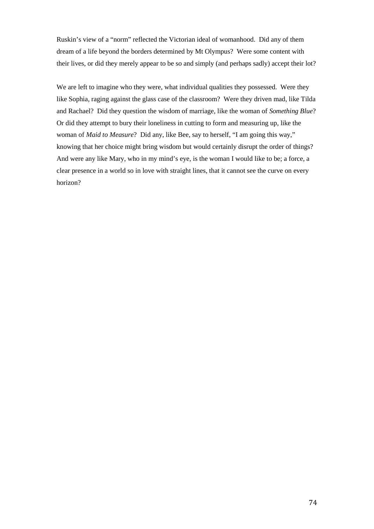Ruskin's view of a "norm" reflected the Victorian ideal of womanhood. Did any of them dream of a life beyond the borders determined by Mt Olympus? Were some content with their lives, or did they merely appear to be so and simply (and perhaps sadly) accept their lot?

We are left to imagine who they were, what individual qualities they possessed. Were they like Sophia, raging against the glass case of the classroom? Were they driven mad, like Tilda and Rachael? Did they question the wisdom of marriage, like the woman of *Something Blue*? Or did they attempt to bury their loneliness in cutting to form and measuring up, like the woman of *Maid to Measure*? Did any, like Bee, say to herself, "I am going this way," knowing that her choice might bring wisdom but would certainly disrupt the order of things? And were any like Mary, who in my mind's eye, is the woman I would like to be; a force, a clear presence in a world so in love with straight lines, that it cannot see the curve on every horizon?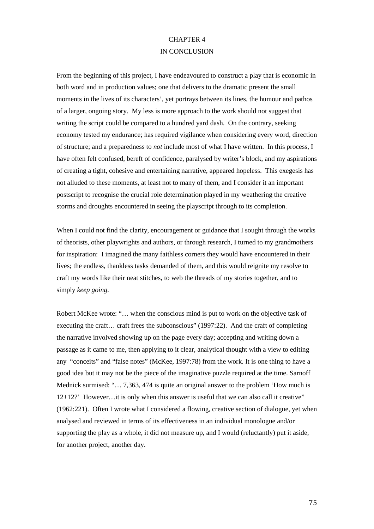## CHAPTER 4 IN CONCLUSION

From the beginning of this project, I have endeavoured to construct a play that is economic in both word and in production values; one that delivers to the dramatic present the small moments in the lives of its characters', yet portrays between its lines, the humour and pathos of a larger, ongoing story. My less is more approach to the work should not suggest that writing the script could be compared to a hundred yard dash. On the contrary, seeking economy tested my endurance; has required vigilance when considering every word, direction of structure; and a preparedness to *not* include most of what I have written. In this process, I have often felt confused, bereft of confidence, paralysed by writer's block, and my aspirations of creating a tight, cohesive and entertaining narrative, appeared hopeless. This exegesis has not alluded to these moments, at least not to many of them, and I consider it an important postscript to recognise the crucial role determination played in my weathering the creative storms and droughts encountered in seeing the playscript through to its completion.

When I could not find the clarity, encouragement or guidance that I sought through the works of theorists, other playwrights and authors, or through research, I turned to my grandmothers for inspiration: I imagined the many faithless corners they would have encountered in their lives; the endless, thankless tasks demanded of them, and this would reignite my resolve to craft my words like their neat stitches, to web the threads of my stories together, and to simply *keep going*.

Robert McKee wrote: "… when the conscious mind is put to work on the objective task of executing the craft… craft frees the subconscious" (1997:22). And the craft of completing the narrative involved showing up on the page every day; accepting and writing down a passage as it came to me, then applying to it clear, analytical thought with a view to editing any "conceits" and "false notes" (McKee, 1997:78) from the work. It is one thing to have a good idea but it may not be the piece of the imaginative puzzle required at the time. Sarnoff Mednick surmised: "… 7,363, 474 is quite an original answer to the problem 'How much is 12+12?' However…it is only when this answer is useful that we can also call it creative" (1962:221). Often I wrote what I considered a flowing, creative section of dialogue, yet when analysed and reviewed in terms of its effectiveness in an individual monologue and/or supporting the play as a whole, it did not measure up, and I would (reluctantly) put it aside, for another project, another day.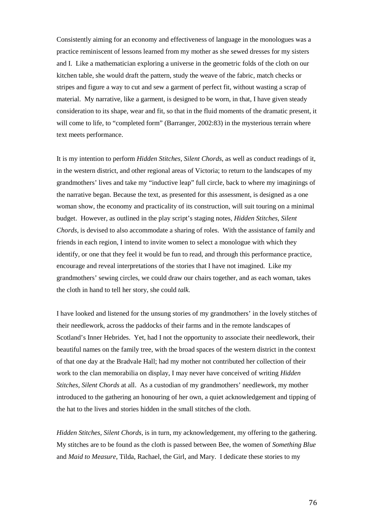Consistently aiming for an economy and effectiveness of language in the monologues was a practice reminiscent of lessons learned from my mother as she sewed dresses for my sisters and I. Like a mathematician exploring a universe in the geometric folds of the cloth on our kitchen table, she would draft the pattern, study the weave of the fabric, match checks or stripes and figure a way to cut and sew a garment of perfect fit, without wasting a scrap of material. My narrative, like a garment, is designed to be worn, in that, I have given steady consideration to its shape, wear and fit, so that in the fluid moments of the dramatic present, it will come to life, to "completed form" (Barranger, 2002:83) in the mysterious terrain where text meets performance.

It is my intention to perform *Hidden Stitches, Silent Chords*, as well as conduct readings of it, in the western district, and other regional areas of Victoria; to return to the landscapes of my grandmothers' lives and take my "inductive leap" full circle, back to where my imaginings of the narrative began. Because the text, as presented for this assessment, is designed as a one woman show, the economy and practicality of its construction, will suit touring on a minimal budget. However, as outlined in the play script's staging notes, *Hidden Stitches, Silent Chords*, is devised to also accommodate a sharing of roles. With the assistance of family and friends in each region, I intend to invite women to select a monologue with which they identify, or one that they feel it would be fun to read, and through this performance practice, encourage and reveal interpretations of the stories that I have not imagined. Like my grandmothers' sewing circles, we could draw our chairs together, and as each woman, takes the cloth in hand to tell her story, she could *talk.*

I have looked and listened for the unsung stories of my grandmothers' in the lovely stitches of their needlework, across the paddocks of their farms and in the remote landscapes of Scotland's Inner Hebrides. Yet, had I not the opportunity to associate their needlework, their beautiful names on the family tree, with the broad spaces of the western district in the context of that one day at the Bradvale Hall; had my mother not contributed her collection of their work to the clan memorabilia on display, I may never have conceived of writing *Hidden Stitches, Silent Chords* at all. As a custodian of my grandmothers' needlework, my mother introduced to the gathering an honouring of her own, a quiet acknowledgement and tipping of the hat to the lives and stories hidden in the small stitches of the cloth.

*Hidden Stitches, Silent Chords*, is in turn, my acknowledgement, my offering to the gathering. My stitches are to be found as the cloth is passed between Bee, the women of *Something Blue*  and *Maid to Measure*, Tilda, Rachael, the Girl, and Mary. I dedicate these stories to my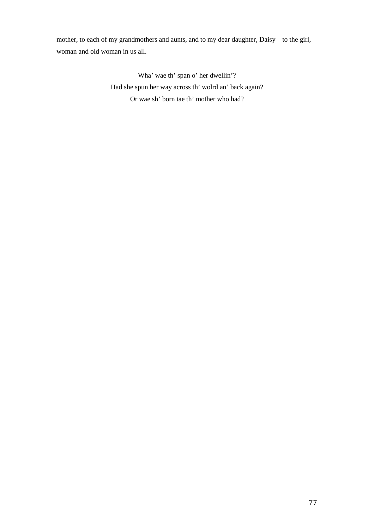mother, to each of my grandmothers and aunts, and to my dear daughter, Daisy – to the girl, woman and old woman in us all.

> Wha' wae th' span o' her dwellin'? Had she spun her way across th' wolrd an' back again? Or wae sh' born tae th' mother who had?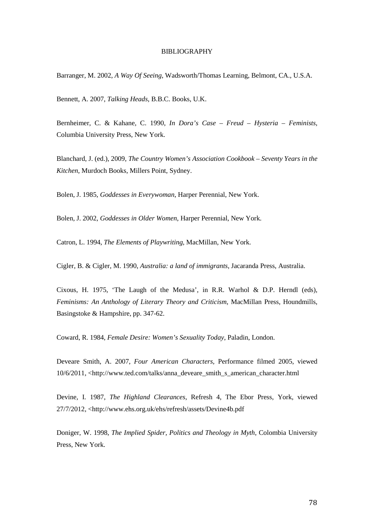## BIBLIOGRAPHY

Barranger, M. 2002, *A Way Of Seeing*, Wadsworth/Thomas Learning, Belmont, CA., U.S.A.

Bennett, A. 2007, *Talking Heads*, B.B.C. Books, U.K.

Bernheimer, C. & Kahane, C. 1990, *In Dora's Case – Freud – Hysteria – Feminists*, Columbia University Press, New York.

Blanchard, J. (ed.), 2009, *The Country Women's Association Cookbook – Seventy Years in the Kitchen*, Murdoch Books, Millers Point, Sydney.

Bolen, J. 1985, *Goddesses in Everywoman*, Harper Perennial, New York.

Bolen, J. 2002, *Goddesses in Older Women*, Harper Perennial, New York.

Catron, L. 1994, *The Elements of Playwriting*, MacMillan, New York.

Cigler, B. & Cigler, M. 1990, *Australia: a land of immigrants*, Jacaranda Press, Australia.

Cixous, H. 1975, 'The Laugh of the Medusa', in R.R. Warhol & D.P. Herndl (eds), *Feminisms: An Anthology of Literary Theory and Criticism*, MacMillan Press, Houndmills, Basingstoke & Hampshire, pp. 347-62.

Coward, R. 1984, *Female Desire: Women's Sexuality Today*, Paladin, London.

Deveare Smith, A. 2007, *Four American Characters,* Performance filmed 2005, viewed 10/6/2011, <http://www.ted.com/talks/anna\_deveare\_smith\_s\_american\_character.html

Devine, I. 1987, *The Highland Clearances*, Refresh 4, The Ebor Press, York, viewed 27/7/2012, <http://www.ehs.org.uk/ehs/refresh/assets/Devine4b.pdf

Doniger, W. 1998, *The Implied Spider, Politics and Theology in Myth*, Colombia University Press, New York.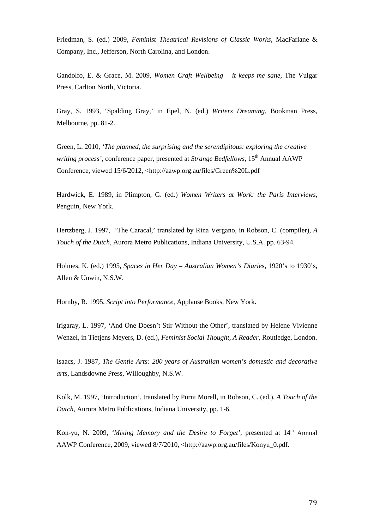Friedman, S. (ed.) 2009, *Feminist Theatrical Revisions of Classic Works*, MacFarlane & Company, Inc., Jefferson, North Carolina, and London.

Gandolfo, E. & Grace, M. 2009, *Women Craft Wellbeing – it keeps me sane*, The Vulgar Press, Carlton North, Victoria.

Gray, S. 1993, 'Spalding Gray,' in Epel, N. (ed.) *Writers Dreaming*, Bookman Press, Melbourne, pp. 81-2.

Green, L. 2010, *'The planned, the surprising and the serendipitous: exploring the creative writing process'*, conference paper, presented at *Strange Bedfellows*, 15th Annual AAWP Conference, viewed 15/6/2012, <http://aawp.org.au/files/Green%20L.pdf

Hardwick, E. 1989, in Plimpton, G. (ed.) *Women Writers at Work: the Paris Interviews*, Penguin, New York.

Hertzberg, J. 1997, 'The Caracal,' translated by Rina Vergano, in Robson, C. (compiler), *A Touch of the Dutch*, Aurora Metro Publications, Indiana University, U.S.A. pp. 63-94.

Holmes, K. (ed.) 1995, *Spaces in Her Day – Australian Women's Diarie*s, 1920's to 1930's, Allen & Unwin, N.S.W.

Hornby, R. 1995, *Script into Performance*, Applause Books, New York.

Irigaray, L. 1997, 'And One Doesn't Stir Without the Other', translated by Helene Vivienne Wenzel, in Tietjens Meyers, D. (ed.), *Feminist Social Thought, A Reader*, Routledge, London.

Isaacs, J. 1987, *The Gentle Arts: 200 years of Australian women's domestic and decorative arts*, Landsdowne Press, Willoughby, N.S.W.

Kolk, M. 1997, 'Introduction', translated by Purni Morell, in Robson, C. (ed.), *A Touch of the Dutch*, Aurora Metro Publications, Indiana University, pp. 1-6.

Kon-yu, N. 2009, 'Mixing Memory and the Desire to Forget', presented at 14<sup>th</sup> Annual AAWP Conference, 2009, viewed 8/7/2010, <http://aawp.org.au/files/Konyu\_0.pdf.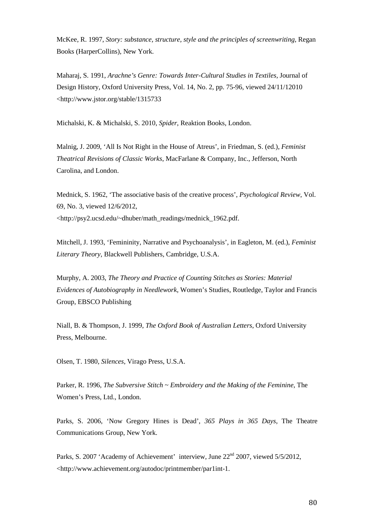McKee, R. 1997, *Story: substance, structure, style and the principles of screenwriting*, Regan Books (HarperCollins), New York.

Maharaj, S. 1991, *Arachne's Genre: Towards Inter-Cultural Studies in Textiles,* Journal of Design History, Oxford University Press, Vol. 14, No. 2, pp. 75-96, viewed 24/11/12010 <http://www.jstor.org/stable/1315733

Michalski, K. & Michalski, S. 2010, *Spider*, Reaktion Books, London.

Malnig, J. 2009, 'All Is Not Right in the House of Atreus', in Friedman, S. (ed.), *Feminist Theatrical Revisions of Classic Works*, MacFarlane & Company, Inc., Jefferson, North Carolina, and London.

Mednick, S. 1962, 'The associative basis of the creative process', *Psychological Review*, Vol. 69, No. 3, viewed 12/6/2012, <http://psy2.ucsd.edu/~dhuber/math\_readings/mednick\_1962.pdf.

Mitchell, J. 1993, 'Femininity, Narrative and Psychoanalysis', in Eagleton, M. (ed.), *Feminist Literary Theory*, Blackwell Publishers, Cambridge, U.S.A.

Murphy, A. 2003, *The Theory and Practice of Counting Stitches as Stories: Material Evidences of Autobiography in Needlework*, Women's Studies, Routledge, Taylor and Francis Group, EBSCO Publishing

Niall, B. & Thompson, J. 1999, *The Oxford Book of Australian Letters*, Oxford University Press, Melbourne.

Olsen, T. 1980, *Silences*, Virago Press, U.S.A.

Parker, R. 1996, *The Subversive Stitch ~ Embroidery and the Making of the Feminine*, The Women's Press, Ltd., London.

Parks, S. 2006, 'Now Gregory Hines is Dead', *365 Plays in 365 Days*, The Theatre Communications Group, New York.

Parks, S. 2007 'Academy of Achievement' interview, June 22<sup>nd</sup> 2007, viewed 5/5/2012. <http://www.achievement.org/autodoc/printmember/par1int-1.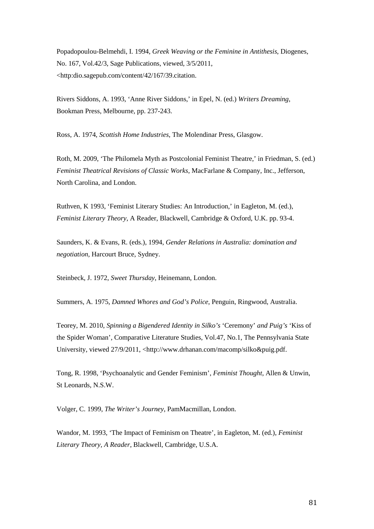Popadopoulou-Belmehdi, I. 1994, *Greek Weaving or the Feminine in Antithesis*, Diogenes, No. 167, Vol.42/3, Sage Publications, viewed, 3/5/2011, <http:dio.sagepub.com/content/42/167/39.citation.

Rivers Siddons, A. 1993, 'Anne River Siddons,' in Epel, N. (ed.) *Writers Dreaming*, Bookman Press, Melbourne, pp. 237-243.

Ross, A. 1974, *Scottish Home Industries*, The Molendinar Press, Glasgow.

Roth, M. 2009, 'The Philomela Myth as Postcolonial Feminist Theatre,' in Friedman, S. (ed.) *Feminist Theatrical Revisions of Classic Works*, MacFarlane & Company, Inc., Jefferson, North Carolina, and London.

Ruthven, K 1993, 'Feminist Literary Studies: An Introduction,' in Eagleton, M. (ed.), *Feminist Literary Theory*, A Reader, Blackwell, Cambridge & Oxford, U.K. pp. 93-4.

Saunders, K. & Evans, R. (eds.), 1994, *Gender Relations in Australia: domination and negotiation,* Harcourt Bruce, Sydney.

Steinbeck, J. 1972, *Sweet Thursday*, Heinemann, London.

Summers, A. 1975, *Damned Whores and God's Police*, Penguin, Ringwood, Australia.

Teorey, M. 2010, *Spinning a Bigendered Identity in Silko's* 'Ceremony' *and Puig's* 'Kiss of the Spider Woman', Comparative Literature Studies, Vol.47, No.1, The Pennsylvania State University, viewed 27/9/2011, <http://www.drhanan.com/macomp/silko&puig.pdf.

Tong, R. 1998, 'Psychoanalytic and Gender Feminism', *Feminist Thought*, Allen & Unwin, St Leonards, N.S.W.

Volger, C. 1999, *The Writer's Journey*, PamMacmillan, London.

Wandor, M. 1993, 'The Impact of Feminism on Theatre', in Eagleton, M. (ed.), *Feminist Literary Theory, A Reader*, Blackwell, Cambridge, U.S.A.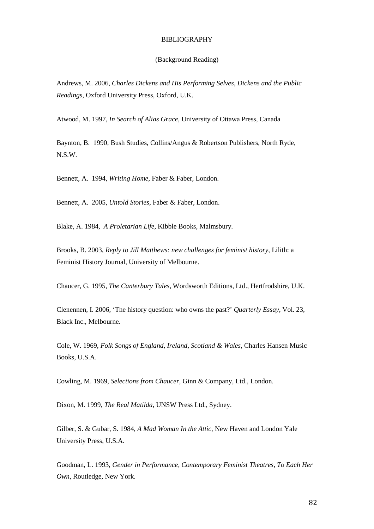## BIBLIOGRAPHY

## (Background Reading)

Andrews, M. 2006, *Charles Dickens and His Performing Selves, Dickens and the Public Readings*, Oxford University Press, Oxford, U.K.

Atwood, M. 1997, *In Search of Alias Grace*, University of Ottawa Press, Canada

Baynton, B. 1990, Bush Studies, Collins/Angus & Robertson Publishers, North Ryde, N.S.W.

Bennett, A. 1994, *Writing Home*, Faber & Faber, London.

Bennett, A. 2005, *Untold Stories*, Faber & Faber, London.

Blake, A. 1984, *A Proletarian Life*, Kibble Books, Malmsbury.

Brooks, B. 2003, *Reply to Jill Matthews: new challenges for feminist history*, Lilith: a Feminist History Journal, University of Melbourne.

Chaucer, G. 1995, *The Canterbury Tales*, Wordsworth Editions, Ltd., Hertfrodshire, U.K.

Clenennen, I. 2006, 'The history question: who owns the past?' *Quarterly Essay*, Vol. 23, Black Inc., Melbourne.

Cole, W. 1969, *Folk Songs of England, Ireland, Scotland & Wales*, Charles Hansen Music Books, U.S.A.

Cowling, M. 1969, *Selections from Chaucer*, Ginn & Company, Ltd., London.

Dixon, M. 1999, *The Real Matilda*, UNSW Press Ltd., Sydney.

Gilber, S. & Gubar, S. 1984, *A Mad Woman In the Attic*, New Haven and London Yale University Press, U.S.A.

Goodman, L. 1993, *Gender in Performance, Contemporary Feminist Theatres, To Each Her Own*, Routledge, New York.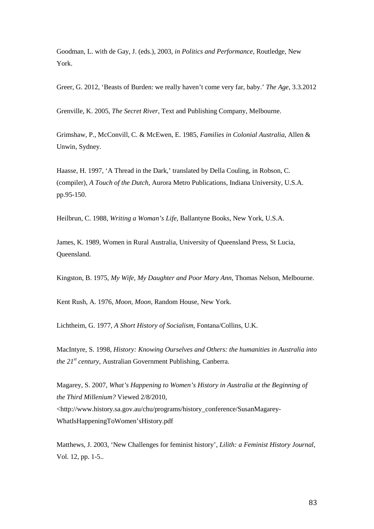Goodman, L. with de Gay, J. (eds.), 2003, *in Politics and Performance*, Routledge, New York.

Greer, G. 2012, 'Beasts of Burden: we really haven't come very far, baby.' *The Age*, 3.3.2012

Grenville, K. 2005, *The Secret River*, Text and Publishing Company, Melbourne.

Grimshaw, P., McConvill, C. & McEwen, E. 1985*, Families in Colonial Australia*, Allen & Unwin, Sydney.

Haasse, H. 1997, 'A Thread in the Dark,' translated by Della Couling, in Robson, C. (compiler), *A Touch of the Dutch*, Aurora Metro Publications, Indiana University, U.S.A. pp.95-150.

Heilbrun, C. 1988, *Writing a Woman's Life,* Ballantyne Books, New York, U.S.A.

James, K. 1989, Women in Rural Australia, University of Queensland Press, St Lucia, Queensland.

Kingston, B. 1975, *My Wife, My Daughter and Poor Mary Ann*, Thomas Nelson, Melbourne.

Kent Rush, A. 1976, *Moon, Moon*, Random House, New York.

Lichtheim, G. 1977, *A Short History of Socialism*, Fontana/Collins, U.K.

MacIntyre, S. 1998, *History: Knowing Ourselves and Others: the humanities in Australia into the 21st century*, Australian Government Publishing, Canberra.

Magarey, S. 2007, *What's Happening to Women's History in Australia at the Beginning of the Third Millenium?* Viewed 2/8/2010, <http://www.history.sa.gov.au/chu/programs/history\_conference/SusanMagarey-WhatIsHappeningToWomen'sHistory.pdf

Matthews, J. 2003, 'New Challenges for feminist history', *Lilith: a Feminist History Journal*, Vol. 12, pp. 1-5..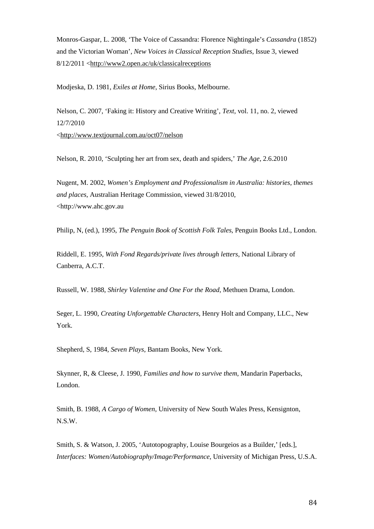Monros-Gaspar, L. 2008, 'The Voice of Cassandra: Florence Nightingale's *Cassandra* (1852) and the Victorian Woman', *New Voices in Classical Reception Studies*, Issue 3, viewed 8/12/2011 [<http://www2.open.ac/uk/classicalreceptions](http://www2.open.ac/uk/classicalreceptions)

Modjeska, D. 1981, *Exiles at Home*, Sirius Books, Melbourne.

Nelson, C. 2007, 'Faking it: History and Creative Writing', *Text*, vol. 11, no. 2, viewed 12/7/2010 [<http://www.textjournal.com.au/oct07/nelson](http://www.textjournal.com.au/oct07/nelson)

Nelson, R. 2010, 'Sculpting her art from sex, death and spiders,' *The Age*, 2.6.2010

Nugent, M. 2002, *Women's Employment and Professionalism in Australia: histories, themes and places*, Australian Heritage Commission, viewed 31/8/2010, <http://www.ahc.gov.au

Philip, N, (ed.), 1995, *The Penguin Book of Scottish Folk Tales*, Penguin Books Ltd., London.

Riddell, E. 1995, *With Fond Regards/private lives through letters*, National Library of Canberra, A.C.T.

Russell, W. 1988, *Shirley Valentine and One For the Road*, Methuen Drama, London.

Seger, L. 1990, *Creating Unforgettable Characters*, Henry Holt and Company, LLC., New York.

Shepherd, S, 1984*, Seven Plays*, Bantam Books, New York.

Skynner, R, & Cleese, J. 1990, *Families and how to survive them*, Mandarin Paperbacks, London.

Smith, B. 1988, *A Cargo of Women*, University of New South Wales Press, Kensignton, N.S.W.

Smith, S. & Watson, J. 2005, 'Autotopography, Louise Bourgeios as a Builder,' [eds.], *Interfaces: Women/Autobiography/Image/Performance*, University of Michigan Press, U.S.A.